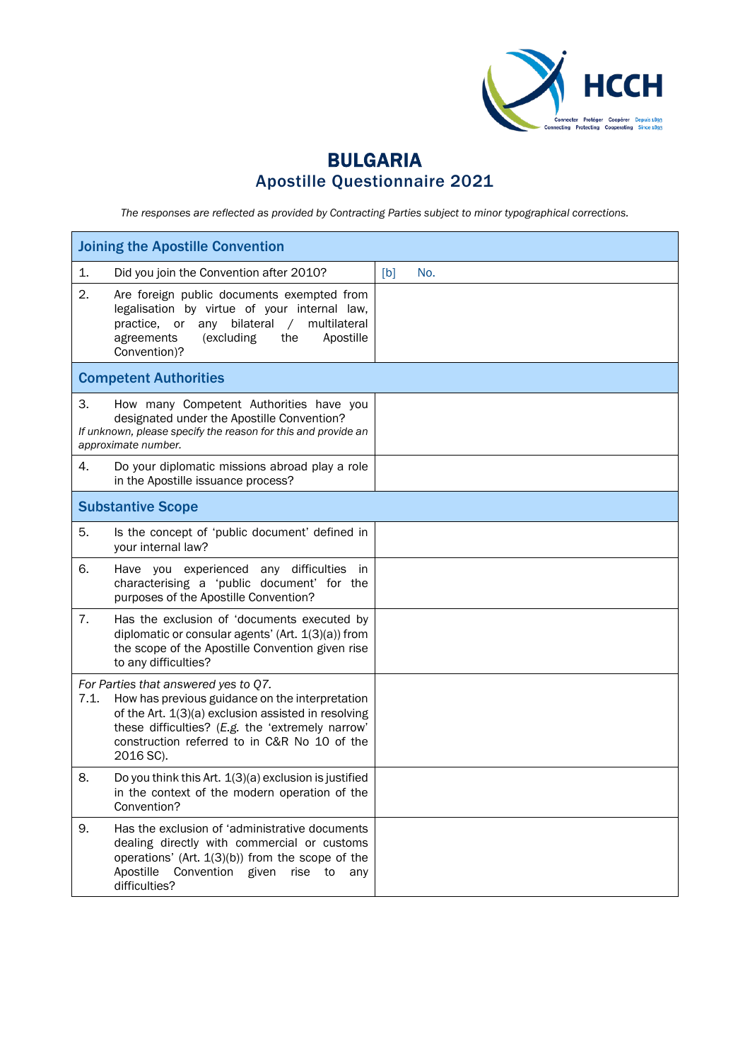

# BULGARIA Apostille Questionnaire 2021

*The responses are reflected as provided by Contracting Parties subject to minor typographical corrections.*

| <b>Joining the Apostille Convention</b> |                                                                                                                                                                                                                                                                 |     |     |  |
|-----------------------------------------|-----------------------------------------------------------------------------------------------------------------------------------------------------------------------------------------------------------------------------------------------------------------|-----|-----|--|
| 1.                                      | Did you join the Convention after 2010?                                                                                                                                                                                                                         | [b] | No. |  |
| 2.                                      | Are foreign public documents exempted from<br>legalisation by virtue of your internal law,<br>any bilateral<br>multilateral<br>practice,<br>or<br>$\sqrt{2}$<br>agreements<br>(excluding<br>the<br>Apostille<br>Convention)?                                    |     |     |  |
|                                         | <b>Competent Authorities</b>                                                                                                                                                                                                                                    |     |     |  |
| 3.                                      | How many Competent Authorities have you<br>designated under the Apostille Convention?<br>If unknown, please specify the reason for this and provide an<br>approximate number.                                                                                   |     |     |  |
| 4.                                      | Do your diplomatic missions abroad play a role<br>in the Apostille issuance process?                                                                                                                                                                            |     |     |  |
|                                         | <b>Substantive Scope</b>                                                                                                                                                                                                                                        |     |     |  |
| 5.                                      | Is the concept of 'public document' defined in<br>your internal law?                                                                                                                                                                                            |     |     |  |
| 6.                                      | Have you experienced any difficulties<br>in<br>characterising a 'public document' for the<br>purposes of the Apostille Convention?                                                                                                                              |     |     |  |
| 7.                                      | Has the exclusion of 'documents executed by<br>diplomatic or consular agents' (Art. $1(3)(a)$ ) from<br>the scope of the Apostille Convention given rise<br>to any difficulties?                                                                                |     |     |  |
| 7.1.                                    | For Parties that answered yes to Q7.<br>How has previous guidance on the interpretation<br>of the Art. 1(3)(a) exclusion assisted in resolving<br>these difficulties? (E.g. the 'extremely narrow'<br>construction referred to in C&R No 10 of the<br>2016 SC). |     |     |  |
| 8.                                      | Do you think this Art. 1(3)(a) exclusion is justified<br>in the context of the modern operation of the<br>Convention?                                                                                                                                           |     |     |  |
| 9.                                      | Has the exclusion of 'administrative documents<br>dealing directly with commercial or customs<br>operations' (Art. $1(3)(b)$ ) from the scope of the<br>Convention given<br>Apostille<br>rise to<br>any<br>difficulties?                                        |     |     |  |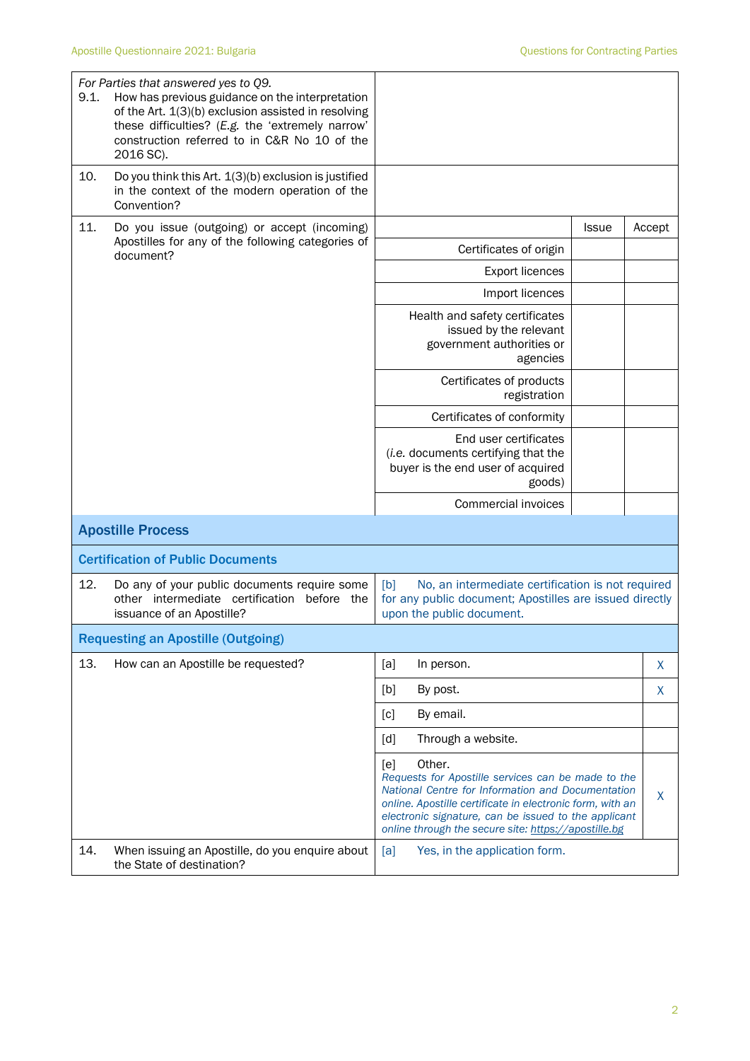| 9.1. | For Parties that answered yes to Q9.<br>How has previous guidance on the interpretation<br>of the Art. 1(3)(b) exclusion assisted in resolving<br>these difficulties? (E.g. the 'extremely narrow'<br>construction referred to in C&R No 10 of the<br>2016 SC). |                                                                                                                                                                                                                                                                                                       |              |        |
|------|-----------------------------------------------------------------------------------------------------------------------------------------------------------------------------------------------------------------------------------------------------------------|-------------------------------------------------------------------------------------------------------------------------------------------------------------------------------------------------------------------------------------------------------------------------------------------------------|--------------|--------|
| 10.  | Do you think this Art. 1(3)(b) exclusion is justified<br>in the context of the modern operation of the<br>Convention?                                                                                                                                           |                                                                                                                                                                                                                                                                                                       |              |        |
| 11.  | Do you issue (outgoing) or accept (incoming)<br>Apostilles for any of the following categories of<br>document?                                                                                                                                                  |                                                                                                                                                                                                                                                                                                       | <b>Issue</b> | Accept |
|      |                                                                                                                                                                                                                                                                 | Certificates of origin                                                                                                                                                                                                                                                                                |              |        |
|      |                                                                                                                                                                                                                                                                 | <b>Export licences</b>                                                                                                                                                                                                                                                                                |              |        |
|      |                                                                                                                                                                                                                                                                 | Import licences                                                                                                                                                                                                                                                                                       |              |        |
|      |                                                                                                                                                                                                                                                                 | Health and safety certificates<br>issued by the relevant<br>government authorities or<br>agencies                                                                                                                                                                                                     |              |        |
|      |                                                                                                                                                                                                                                                                 | Certificates of products<br>registration                                                                                                                                                                                                                                                              |              |        |
|      |                                                                                                                                                                                                                                                                 | Certificates of conformity                                                                                                                                                                                                                                                                            |              |        |
|      |                                                                                                                                                                                                                                                                 | End user certificates<br>(i.e. documents certifying that the<br>buyer is the end user of acquired<br>goods)                                                                                                                                                                                           |              |        |
|      |                                                                                                                                                                                                                                                                 | Commercial invoices                                                                                                                                                                                                                                                                                   |              |        |
|      | <b>Apostille Process</b>                                                                                                                                                                                                                                        |                                                                                                                                                                                                                                                                                                       |              |        |
|      | <b>Certification of Public Documents</b>                                                                                                                                                                                                                        |                                                                                                                                                                                                                                                                                                       |              |        |
| 12.  | Do any of your public documents require some<br>other intermediate certification before the<br>issuance of an Apostille?                                                                                                                                        | [b]<br>No, an intermediate certification is not required<br>for any public document; Apostilles are issued directly<br>upon the public document.                                                                                                                                                      |              |        |
|      | <b>Requesting an Apostille (Outgoing)</b>                                                                                                                                                                                                                       |                                                                                                                                                                                                                                                                                                       |              |        |
| 13.  | How can an Apostille be requested?                                                                                                                                                                                                                              | [a]<br>In person.                                                                                                                                                                                                                                                                                     |              | X      |
|      |                                                                                                                                                                                                                                                                 | [b]<br>By post.                                                                                                                                                                                                                                                                                       |              | X      |
|      |                                                                                                                                                                                                                                                                 | By email.<br>[c]                                                                                                                                                                                                                                                                                      |              |        |
|      |                                                                                                                                                                                                                                                                 | Through a website.<br>[d]                                                                                                                                                                                                                                                                             |              |        |
|      |                                                                                                                                                                                                                                                                 | Other.<br>[e]<br>Requests for Apostille services can be made to the<br>National Centre for Information and Documentation<br>online. Apostille certificate in electronic form, with an<br>electronic signature, can be issued to the applicant<br>online through the secure site: https://apostille.bg |              | X      |
| 14.  | When issuing an Apostille, do you enquire about<br>the State of destination?                                                                                                                                                                                    | Yes, in the application form.<br>[a]                                                                                                                                                                                                                                                                  |              |        |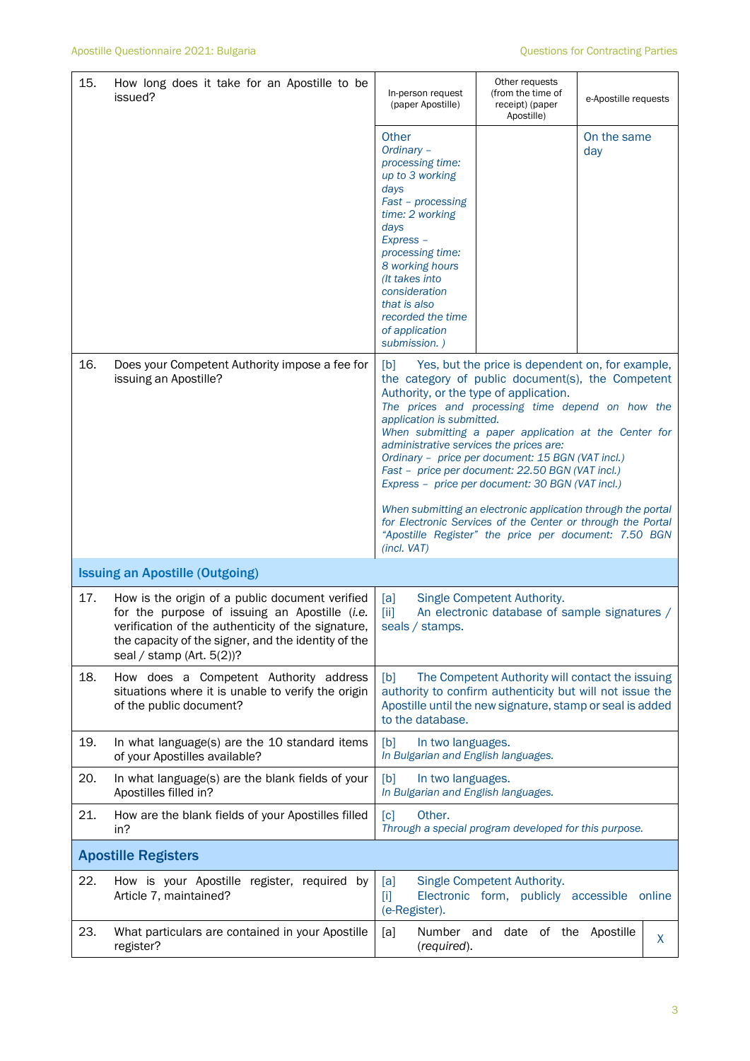| 15. | How long does it take for an Apostille to be<br>issued?                                                                                                                                                                                       | In-person request<br>(paper Apostille)                                                                                                                                                                                                                                           | Other requests<br>(from the time of<br>receipt) (paper<br>Apostille)                                                                                                                                                                                                                                                                                                            | e-Apostille requests |        |
|-----|-----------------------------------------------------------------------------------------------------------------------------------------------------------------------------------------------------------------------------------------------|----------------------------------------------------------------------------------------------------------------------------------------------------------------------------------------------------------------------------------------------------------------------------------|---------------------------------------------------------------------------------------------------------------------------------------------------------------------------------------------------------------------------------------------------------------------------------------------------------------------------------------------------------------------------------|----------------------|--------|
|     |                                                                                                                                                                                                                                               | Other<br>Ordinary -<br>processing time:<br>up to 3 working<br>days<br>Fast - processing<br>time: 2 working<br>days<br>Express -<br>processing time:<br>8 working hours<br>(It takes into<br>consideration<br>that is also<br>recorded the time<br>of application<br>submission.) |                                                                                                                                                                                                                                                                                                                                                                                 | On the same<br>day   |        |
| 16. | Does your Competent Authority impose a fee for<br>issuing an Apostille?                                                                                                                                                                       | [b]<br>Authority, or the type of application.<br>application is submitted.<br>administrative services the prices are:                                                                                                                                                            | Yes, but the price is dependent on, for example,<br>the category of public document(s), the Competent<br>The prices and processing time depend on how the<br>When submitting a paper application at the Center for<br>Ordinary - price per document: 15 BGN (VAT incl.)<br>Fast - price per document: 22.50 BGN (VAT incl.)<br>Express - price per document: 30 BGN (VAT incl.) |                      |        |
|     |                                                                                                                                                                                                                                               | (incl. VAT)                                                                                                                                                                                                                                                                      | When submitting an electronic application through the portal<br>for Electronic Services of the Center or through the Portal<br>"Apostille Register" the price per document: 7.50 BGN                                                                                                                                                                                            |                      |        |
|     | <b>Issuing an Apostille (Outgoing)</b>                                                                                                                                                                                                        |                                                                                                                                                                                                                                                                                  |                                                                                                                                                                                                                                                                                                                                                                                 |                      |        |
| 17. | How is the origin of a public document verified<br>for the purpose of issuing an Apostille (i.e.<br>verification of the authenticity of the signature,<br>the capacity of the signer, and the identity of the<br>seal / stamp (Art. $5(2)$ )? | [a]<br>$\left[\text{iii}\right]$<br>seals / stamps.                                                                                                                                                                                                                              | Single Competent Authority.<br>An electronic database of sample signatures /                                                                                                                                                                                                                                                                                                    |                      |        |
| 18. | How does a Competent Authority address<br>situations where it is unable to verify the origin<br>of the public document?                                                                                                                       | [b]<br>to the database.                                                                                                                                                                                                                                                          | The Competent Authority will contact the issuing<br>authority to confirm authenticity but will not issue the<br>Apostille until the new signature, stamp or seal is added                                                                                                                                                                                                       |                      |        |
| 19. | In what language(s) are the 10 standard items<br>of your Apostilles available?                                                                                                                                                                | [b]<br>In two languages.<br>In Bulgarian and English languages.                                                                                                                                                                                                                  |                                                                                                                                                                                                                                                                                                                                                                                 |                      |        |
| 20. | In what language(s) are the blank fields of your<br>Apostilles filled in?                                                                                                                                                                     | [b]<br>In two languages.<br>In Bulgarian and English languages.                                                                                                                                                                                                                  |                                                                                                                                                                                                                                                                                                                                                                                 |                      |        |
| 21. | How are the blank fields of your Apostilles filled<br>in?                                                                                                                                                                                     | Other.<br>[c]                                                                                                                                                                                                                                                                    | Through a special program developed for this purpose.                                                                                                                                                                                                                                                                                                                           |                      |        |
|     | <b>Apostille Registers</b>                                                                                                                                                                                                                    |                                                                                                                                                                                                                                                                                  |                                                                                                                                                                                                                                                                                                                                                                                 |                      |        |
| 22. | How is your Apostille register, required by<br>Article 7, maintained?                                                                                                                                                                         | [a]<br>$[1]$<br>(e-Register).                                                                                                                                                                                                                                                    | Single Competent Authority.<br>Electronic form, publicly accessible                                                                                                                                                                                                                                                                                                             |                      | online |
| 23. | What particulars are contained in your Apostille<br>register?                                                                                                                                                                                 | [a]<br>Number and<br>(required).                                                                                                                                                                                                                                                 | date of the Apostille                                                                                                                                                                                                                                                                                                                                                           |                      | X      |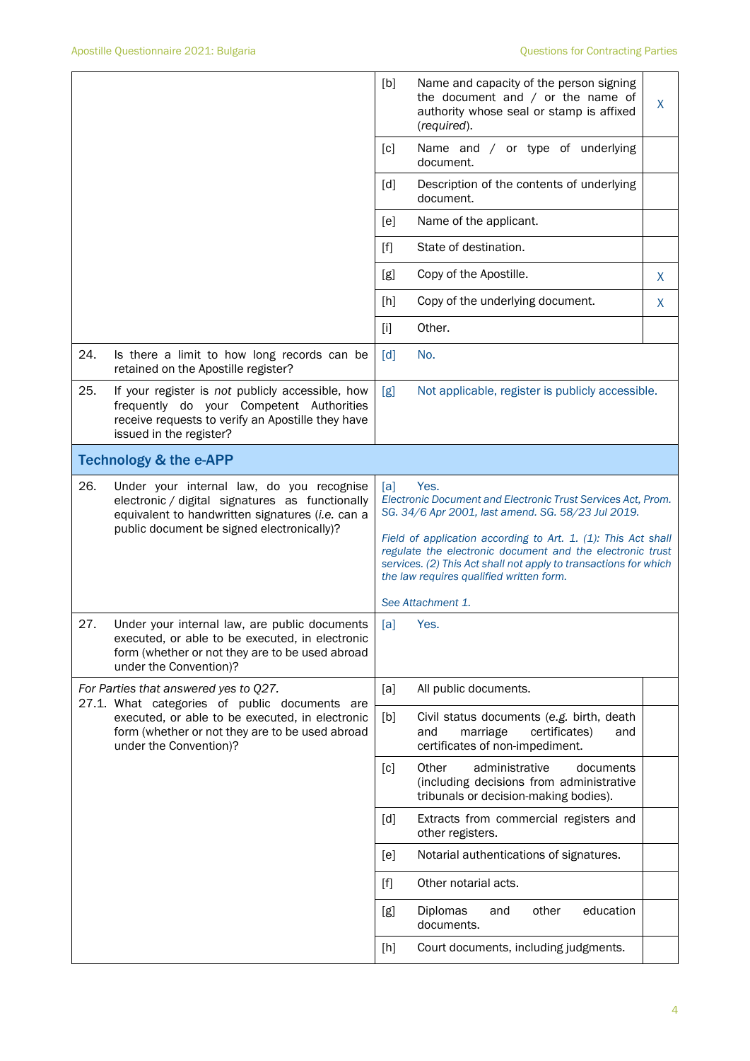|     |                                                                                                                                                                                                | [b]                                                                                                                                                                                                                                                                                                                                                                             | Name and capacity of the person signing                                                                                   |   |  |
|-----|------------------------------------------------------------------------------------------------------------------------------------------------------------------------------------------------|---------------------------------------------------------------------------------------------------------------------------------------------------------------------------------------------------------------------------------------------------------------------------------------------------------------------------------------------------------------------------------|---------------------------------------------------------------------------------------------------------------------------|---|--|
|     |                                                                                                                                                                                                |                                                                                                                                                                                                                                                                                                                                                                                 | the document and $/$ or the name of<br>authority whose seal or stamp is affixed<br>(required).                            | X |  |
|     |                                                                                                                                                                                                | [c]                                                                                                                                                                                                                                                                                                                                                                             | Name and / or type of underlying<br>document.                                                                             |   |  |
|     |                                                                                                                                                                                                | [d]                                                                                                                                                                                                                                                                                                                                                                             | Description of the contents of underlying<br>document.                                                                    |   |  |
|     |                                                                                                                                                                                                | [e]                                                                                                                                                                                                                                                                                                                                                                             | Name of the applicant.                                                                                                    |   |  |
|     |                                                                                                                                                                                                | [f]                                                                                                                                                                                                                                                                                                                                                                             | State of destination.                                                                                                     |   |  |
|     |                                                                                                                                                                                                | [g]                                                                                                                                                                                                                                                                                                                                                                             | Copy of the Apostille.                                                                                                    | X |  |
|     |                                                                                                                                                                                                | [h]                                                                                                                                                                                                                                                                                                                                                                             | Copy of the underlying document.                                                                                          | X |  |
|     |                                                                                                                                                                                                | [1]                                                                                                                                                                                                                                                                                                                                                                             | Other.                                                                                                                    |   |  |
| 24. | Is there a limit to how long records can be<br>retained on the Apostille register?                                                                                                             | [d]                                                                                                                                                                                                                                                                                                                                                                             | No.                                                                                                                       |   |  |
| 25. | If your register is not publicly accessible, how<br>frequently do your Competent Authorities<br>receive requests to verify an Apostille they have<br>issued in the register?                   | [g]<br>Not applicable, register is publicly accessible.                                                                                                                                                                                                                                                                                                                         |                                                                                                                           |   |  |
|     | <b>Technology &amp; the e-APP</b>                                                                                                                                                              |                                                                                                                                                                                                                                                                                                                                                                                 |                                                                                                                           |   |  |
| 26. | Under your internal law, do you recognise<br>electronic / digital signatures as functionally<br>equivalent to handwritten signatures (i.e. can a<br>public document be signed electronically)? | Yes.<br>[a]<br>Electronic Document and Electronic Trust Services Act, Prom.<br>SG. 34/6 Apr 2001, last amend. SG. 58/23 Jul 2019.<br>Field of application according to Art. 1. (1): This Act shall<br>regulate the electronic document and the electronic trust<br>services. (2) This Act shall not apply to transactions for which<br>the law requires qualified written form. |                                                                                                                           |   |  |
|     |                                                                                                                                                                                                | See Attachment 1.                                                                                                                                                                                                                                                                                                                                                               |                                                                                                                           |   |  |
| 27. | Under your internal law, are public documents<br>executed, or able to be executed, in electronic<br>form (whether or not they are to be used abroad<br>under the Convention)?                  | [a]<br>Yes.                                                                                                                                                                                                                                                                                                                                                                     |                                                                                                                           |   |  |
|     | For Parties that answered yes to Q27.<br>27.1. What categories of public documents are                                                                                                         | [a]                                                                                                                                                                                                                                                                                                                                                                             | All public documents.                                                                                                     |   |  |
|     | executed, or able to be executed, in electronic<br>form (whether or not they are to be used abroad<br>under the Convention)?                                                                   | [b]                                                                                                                                                                                                                                                                                                                                                                             | Civil status documents (e.g. birth, death<br>marriage<br>certificates)<br>and<br>and<br>certificates of non-impediment.   |   |  |
|     |                                                                                                                                                                                                | [c]                                                                                                                                                                                                                                                                                                                                                                             | Other<br>administrative<br>documents<br>(including decisions from administrative<br>tribunals or decision-making bodies). |   |  |
|     |                                                                                                                                                                                                | [d]                                                                                                                                                                                                                                                                                                                                                                             | Extracts from commercial registers and<br>other registers.                                                                |   |  |
|     |                                                                                                                                                                                                | [e]                                                                                                                                                                                                                                                                                                                                                                             | Notarial authentications of signatures.                                                                                   |   |  |
|     |                                                                                                                                                                                                | $[f]$                                                                                                                                                                                                                                                                                                                                                                           | Other notarial acts.                                                                                                      |   |  |
|     |                                                                                                                                                                                                | [g]                                                                                                                                                                                                                                                                                                                                                                             | Diplomas<br>education<br>other<br>and<br>documents.                                                                       |   |  |
|     |                                                                                                                                                                                                | [h]                                                                                                                                                                                                                                                                                                                                                                             | Court documents, including judgments.                                                                                     |   |  |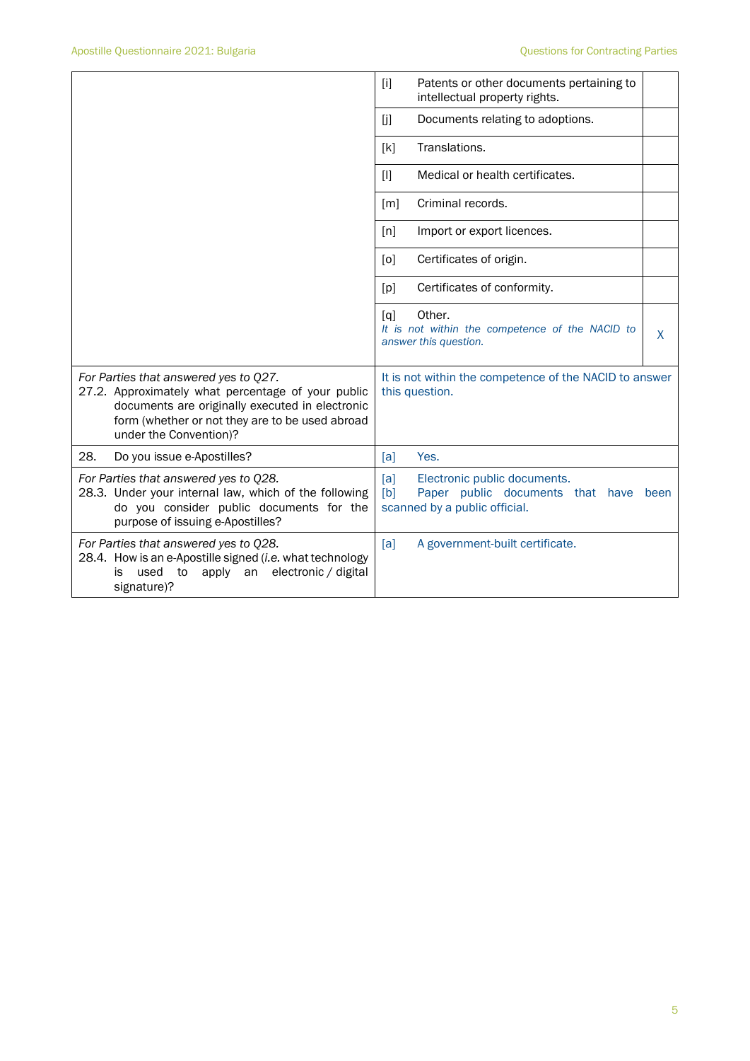|                                                                                                                                                                                                                             | Patents or other documents pertaining to<br>$[1]$<br>intellectual property rights.                                      |
|-----------------------------------------------------------------------------------------------------------------------------------------------------------------------------------------------------------------------------|-------------------------------------------------------------------------------------------------------------------------|
|                                                                                                                                                                                                                             | ΙjΙ<br>Documents relating to adoptions.                                                                                 |
|                                                                                                                                                                                                                             | Translations.<br>[k]                                                                                                    |
|                                                                                                                                                                                                                             | Medical or health certificates.<br>Ш                                                                                    |
|                                                                                                                                                                                                                             | Criminal records.<br>$\lceil m \rceil$                                                                                  |
|                                                                                                                                                                                                                             | Import or export licences.<br>[n]                                                                                       |
|                                                                                                                                                                                                                             | Certificates of origin.<br>[0]                                                                                          |
|                                                                                                                                                                                                                             | Certificates of conformity.<br>[p]                                                                                      |
|                                                                                                                                                                                                                             | Other.<br>[a]<br>It is not within the competence of the NACID to<br>X<br>answer this question.                          |
| For Parties that answered yes to Q27.<br>27.2. Approximately what percentage of your public<br>documents are originally executed in electronic<br>form (whether or not they are to be used abroad<br>under the Convention)? | It is not within the competence of the NACID to answer<br>this question.                                                |
| 28.<br>Do you issue e-Apostilles?                                                                                                                                                                                           | Yes.<br>[a]                                                                                                             |
| For Parties that answered yes to Q28.<br>28.3. Under your internal law, which of the following<br>do you consider public documents for the<br>purpose of issuing e-Apostilles?                                              | [a]<br>Electronic public documents.<br>[b]<br>Paper public documents that have<br>been<br>scanned by a public official. |
| For Parties that answered yes to Q28.<br>28.4. How is an e-Apostille signed (i.e. what technology<br>apply<br>electronic / digital<br>used<br>to<br>an<br>is<br>signature)?                                                 | [a]<br>A government-built certificate.                                                                                  |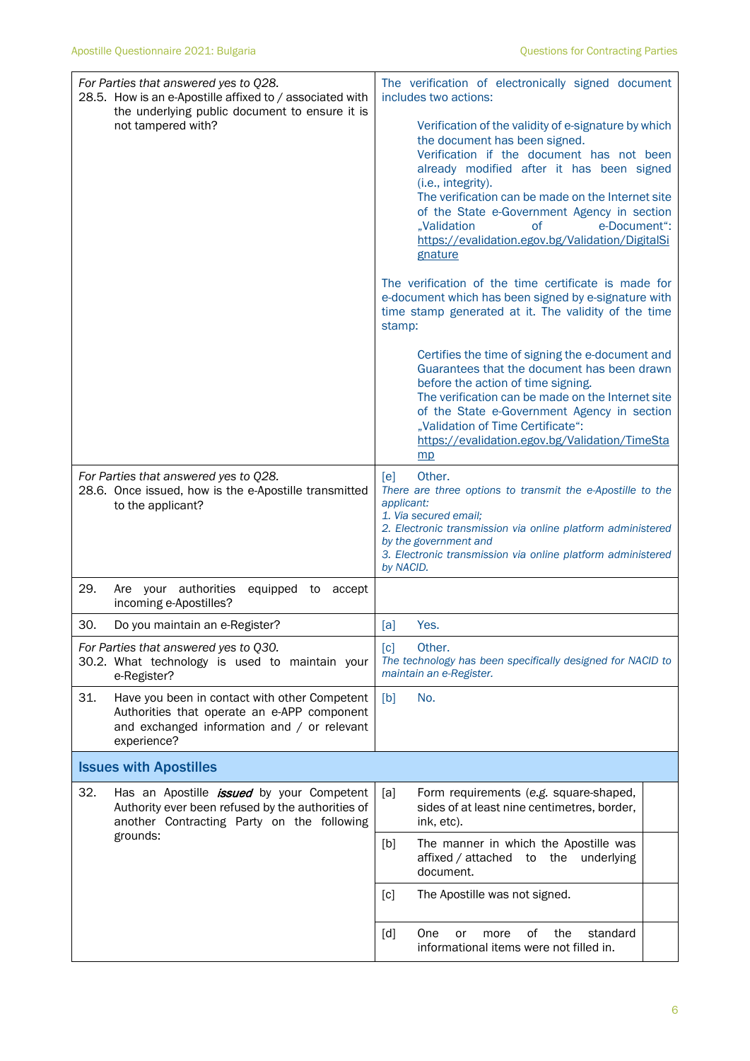| For Parties that answered yes to Q28.<br>28.5. How is an e-Apostille affixed to / associated with<br>the underlying public document to ensure it is<br>not tampered with? | The verification of electronically signed document<br>includes two actions:<br>Verification of the validity of e-signature by which<br>the document has been signed.<br>Verification if the document has not been<br>already modified after it has been signed<br>(i.e., integrity).<br>The verification can be made on the Internet site<br>of the State e-Government Agency in section<br>e-Document":<br>"Validation<br><b>of</b><br>https://evalidation.egov.bg/Validation/DigitalSi<br>gnature<br>The verification of the time certificate is made for<br>e-document which has been signed by e-signature with<br>time stamp generated at it. The validity of the time<br>stamp:<br>Certifies the time of signing the e-document and<br>Guarantees that the document has been drawn |  |  |
|---------------------------------------------------------------------------------------------------------------------------------------------------------------------------|------------------------------------------------------------------------------------------------------------------------------------------------------------------------------------------------------------------------------------------------------------------------------------------------------------------------------------------------------------------------------------------------------------------------------------------------------------------------------------------------------------------------------------------------------------------------------------------------------------------------------------------------------------------------------------------------------------------------------------------------------------------------------------------|--|--|
|                                                                                                                                                                           | before the action of time signing.<br>The verification can be made on the Internet site<br>of the State e-Government Agency in section<br>"Validation of Time Certificate":<br>https://evalidation.egov.bg/Validation/TimeSta<br>mp                                                                                                                                                                                                                                                                                                                                                                                                                                                                                                                                                      |  |  |
| For Parties that answered yes to Q28.<br>28.6. Once issued, how is the e-Apostille transmitted<br>to the applicant?                                                       | Other.<br>[e]<br>There are three options to transmit the e-Apostille to the<br>applicant:<br>1. Via secured email;<br>2. Electronic transmission via online platform administered<br>by the government and<br>3. Electronic transmission via online platform administered<br>by NACID.                                                                                                                                                                                                                                                                                                                                                                                                                                                                                                   |  |  |
| 29.<br>Are your authorities<br>equipped to accept<br>incoming e-Apostilles?                                                                                               |                                                                                                                                                                                                                                                                                                                                                                                                                                                                                                                                                                                                                                                                                                                                                                                          |  |  |
| 30.<br>Do you maintain an e-Register?                                                                                                                                     | Yes.<br>[a]                                                                                                                                                                                                                                                                                                                                                                                                                                                                                                                                                                                                                                                                                                                                                                              |  |  |
| For Parties that answered yes to Q30.<br>30.2. What technology is used to maintain your<br>e-Register?                                                                    | [c]<br>Other.<br>The technology has been specifically designed for NACID to<br>maintain an e-Register.                                                                                                                                                                                                                                                                                                                                                                                                                                                                                                                                                                                                                                                                                   |  |  |
| 31.<br>Have you been in contact with other Competent<br>Authorities that operate an e-APP component<br>and exchanged information and / or relevant<br>experience?         | No.<br>[b]                                                                                                                                                                                                                                                                                                                                                                                                                                                                                                                                                                                                                                                                                                                                                                               |  |  |
| <b>Issues with Apostilles</b>                                                                                                                                             |                                                                                                                                                                                                                                                                                                                                                                                                                                                                                                                                                                                                                                                                                                                                                                                          |  |  |
| 32.<br>Has an Apostille <i>issued</i> by your Competent<br>Authority ever been refused by the authorities of<br>another Contracting Party on the following                | [a]<br>Form requirements (e.g. square-shaped,<br>sides of at least nine centimetres, border,<br>ink, etc).                                                                                                                                                                                                                                                                                                                                                                                                                                                                                                                                                                                                                                                                               |  |  |
| grounds:                                                                                                                                                                  | [b]<br>The manner in which the Apostille was<br>the underlying<br>affixed / attached<br>to<br>document.                                                                                                                                                                                                                                                                                                                                                                                                                                                                                                                                                                                                                                                                                  |  |  |
|                                                                                                                                                                           | [c]<br>The Apostille was not signed.                                                                                                                                                                                                                                                                                                                                                                                                                                                                                                                                                                                                                                                                                                                                                     |  |  |
|                                                                                                                                                                           | of<br>the<br>standard<br>[d]<br>One<br>or<br>more<br>informational items were not filled in.                                                                                                                                                                                                                                                                                                                                                                                                                                                                                                                                                                                                                                                                                             |  |  |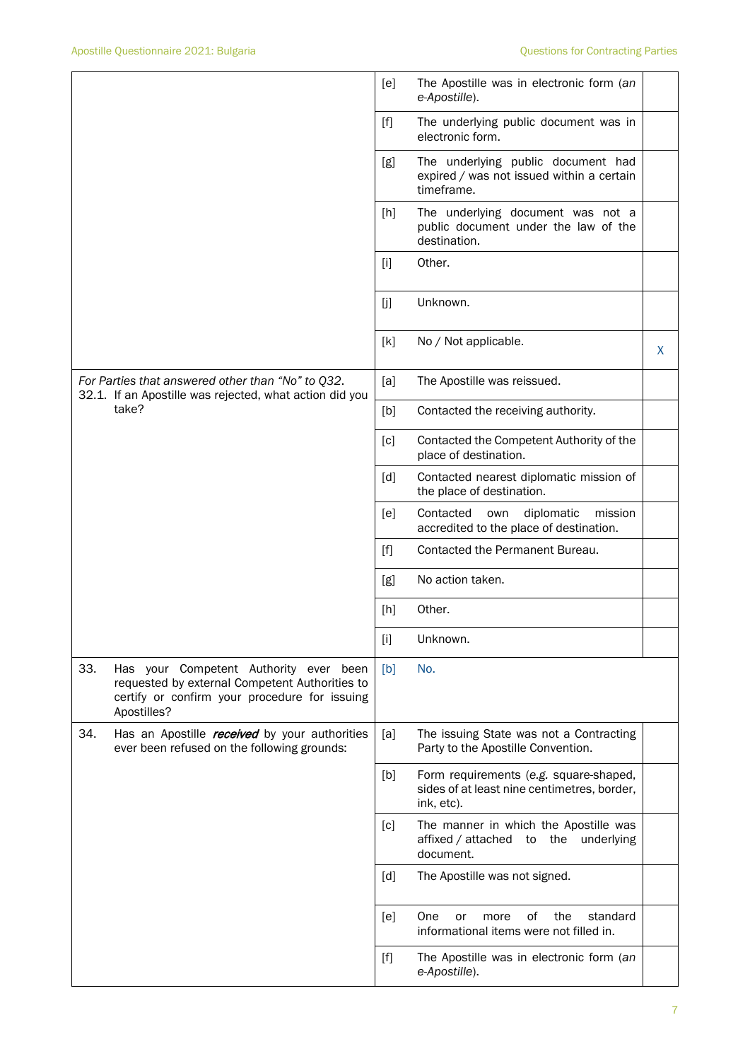|                                                                                                                                                                 | The Apostille was in electronic form (an<br>[e]<br>e-Apostille).                                                                                                                                                                                                     |
|-----------------------------------------------------------------------------------------------------------------------------------------------------------------|----------------------------------------------------------------------------------------------------------------------------------------------------------------------------------------------------------------------------------------------------------------------|
|                                                                                                                                                                 | $[f]$<br>The underlying public document was in<br>electronic form.                                                                                                                                                                                                   |
|                                                                                                                                                                 | The underlying public document had<br>[g]<br>expired / was not issued within a certain<br>timeframe.                                                                                                                                                                 |
|                                                                                                                                                                 | The underlying document was not a<br>[h]<br>public document under the law of the<br>destination.                                                                                                                                                                     |
|                                                                                                                                                                 | Other.<br>$[1]$                                                                                                                                                                                                                                                      |
|                                                                                                                                                                 | [j]<br>Unknown.                                                                                                                                                                                                                                                      |
|                                                                                                                                                                 | [k]<br>No / Not applicable.<br>X                                                                                                                                                                                                                                     |
| For Parties that answered other than "No" to Q32.<br>32.1. If an Apostille was rejected, what action did you                                                    | The Apostille was reissued.<br>[a]                                                                                                                                                                                                                                   |
| take?                                                                                                                                                           | Contacted the receiving authority.<br>[b]                                                                                                                                                                                                                            |
|                                                                                                                                                                 | Contacted the Competent Authority of the<br>[c]<br>place of destination.                                                                                                                                                                                             |
|                                                                                                                                                                 | [d]<br>Contacted nearest diplomatic mission of<br>the place of destination.                                                                                                                                                                                          |
|                                                                                                                                                                 | Contacted<br>diplomatic<br>[e]<br>own<br>mission<br>accredited to the place of destination.                                                                                                                                                                          |
|                                                                                                                                                                 | Contacted the Permanent Bureau.<br>$[f]$                                                                                                                                                                                                                             |
|                                                                                                                                                                 | No action taken.<br>[g]                                                                                                                                                                                                                                              |
|                                                                                                                                                                 | Other.<br>[h]                                                                                                                                                                                                                                                        |
|                                                                                                                                                                 | $[1] % \begin{center} % \includegraphics[width=\linewidth]{imagesSupplemental_3.png} % \end{center} % \caption { % Our method is used for the method. % The method is used in the image. % The method is used in the image. % } % \label{fig:example} %$<br>Unknown. |
| 33.<br>Has your Competent Authority ever been<br>requested by external Competent Authorities to<br>certify or confirm your procedure for issuing<br>Apostilles? | [b]<br>No.                                                                                                                                                                                                                                                           |
| 34.<br>Has an Apostille <i>received</i> by your authorities<br>ever been refused on the following grounds:                                                      | [a]<br>The issuing State was not a Contracting<br>Party to the Apostille Convention.                                                                                                                                                                                 |
|                                                                                                                                                                 | Form requirements (e.g. square-shaped,<br>[b]<br>sides of at least nine centimetres, border,<br>ink, etc).                                                                                                                                                           |
|                                                                                                                                                                 | The manner in which the Apostille was<br>[c]<br>affixed / attached<br>the underlying<br>to<br>document.                                                                                                                                                              |
|                                                                                                                                                                 | [d]<br>The Apostille was not signed.                                                                                                                                                                                                                                 |
|                                                                                                                                                                 | One<br>0f<br>the<br>standard<br>[e]<br>or<br>more<br>informational items were not filled in.                                                                                                                                                                         |
|                                                                                                                                                                 | $[f]$<br>The Apostille was in electronic form (an<br>e-Apostille).                                                                                                                                                                                                   |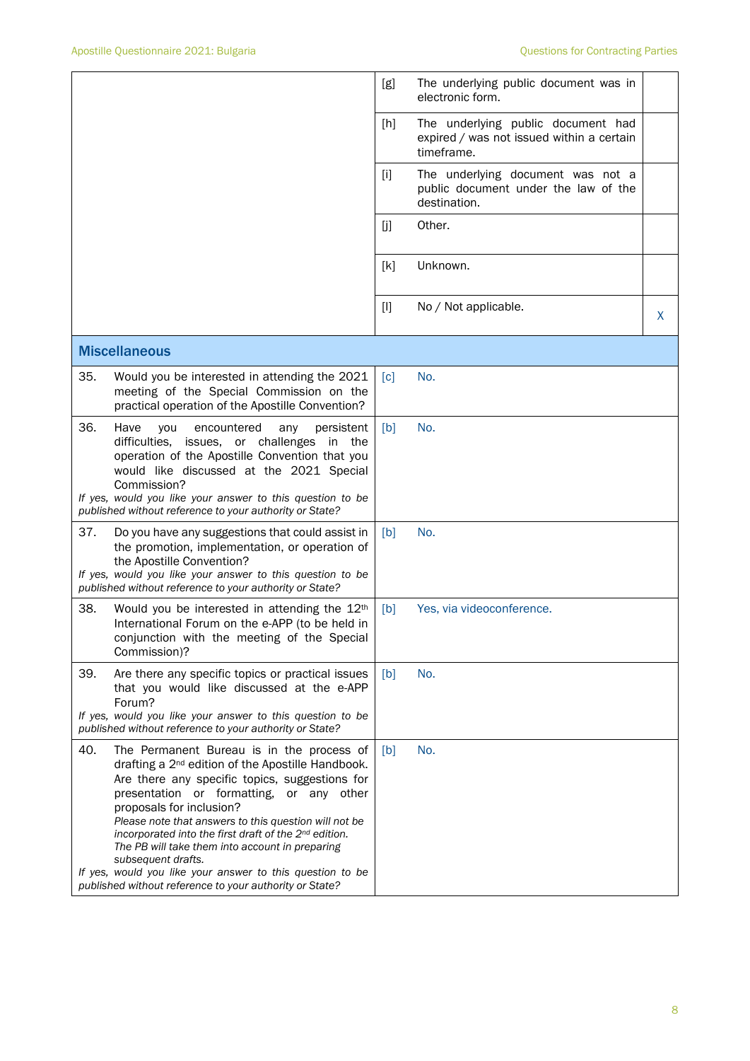|     |                                                                                                                                                                                                                                                                                                                                                                                                                                                                                                                                                         | [g]               | The underlying public document was in<br>electronic form.                                     |   |
|-----|---------------------------------------------------------------------------------------------------------------------------------------------------------------------------------------------------------------------------------------------------------------------------------------------------------------------------------------------------------------------------------------------------------------------------------------------------------------------------------------------------------------------------------------------------------|-------------------|-----------------------------------------------------------------------------------------------|---|
|     |                                                                                                                                                                                                                                                                                                                                                                                                                                                                                                                                                         | $[h]$             | The underlying public document had<br>expired / was not issued within a certain<br>timeframe. |   |
|     |                                                                                                                                                                                                                                                                                                                                                                                                                                                                                                                                                         | $[1]$             | The underlying document was not a<br>public document under the law of the<br>destination.     |   |
|     |                                                                                                                                                                                                                                                                                                                                                                                                                                                                                                                                                         | [j]               | Other.                                                                                        |   |
|     |                                                                                                                                                                                                                                                                                                                                                                                                                                                                                                                                                         | [k]               | Unknown.                                                                                      |   |
|     |                                                                                                                                                                                                                                                                                                                                                                                                                                                                                                                                                         | $[]$              | No / Not applicable.                                                                          | X |
|     | <b>Miscellaneous</b>                                                                                                                                                                                                                                                                                                                                                                                                                                                                                                                                    |                   |                                                                                               |   |
| 35. | Would you be interested in attending the 2021<br>meeting of the Special Commission on the<br>practical operation of the Apostille Convention?                                                                                                                                                                                                                                                                                                                                                                                                           | $\lceil c \rceil$ | No.                                                                                           |   |
| 36. | Have<br>encountered<br>you<br>any<br>persistent<br>difficulties,<br>issues, or challenges<br>in<br>the<br>operation of the Apostille Convention that you<br>would like discussed at the 2021 Special<br>Commission?<br>If yes, would you like your answer to this question to be                                                                                                                                                                                                                                                                        | [b]               | No.                                                                                           |   |
| 37. | published without reference to your authority or State?<br>Do you have any suggestions that could assist in                                                                                                                                                                                                                                                                                                                                                                                                                                             | [b]               | No.                                                                                           |   |
|     | the promotion, implementation, or operation of<br>the Apostille Convention?<br>If yes, would you like your answer to this question to be<br>published without reference to your authority or State?                                                                                                                                                                                                                                                                                                                                                     |                   |                                                                                               |   |
| 38. | Would you be interested in attending the 12 <sup>th</sup><br>International Forum on the e-APP (to be held in<br>conjunction with the meeting of the Special<br>Commission)?                                                                                                                                                                                                                                                                                                                                                                             | [b]               | Yes, via videoconference.                                                                     |   |
| 39. | Are there any specific topics or practical issues<br>that you would like discussed at the e-APP<br>Forum?<br>If yes, would you like your answer to this question to be<br>published without reference to your authority or State?                                                                                                                                                                                                                                                                                                                       | [b]               | No.                                                                                           |   |
| 40. | The Permanent Bureau is in the process of<br>drafting a 2 <sup>nd</sup> edition of the Apostille Handbook.<br>Are there any specific topics, suggestions for<br>presentation or formatting, or any other<br>proposals for inclusion?<br>Please note that answers to this question will not be<br>incorporated into the first draft of the 2nd edition.<br>The PB will take them into account in preparing<br>subsequent drafts.<br>If yes, would you like your answer to this question to be<br>published without reference to your authority or State? | [b]               | No.                                                                                           |   |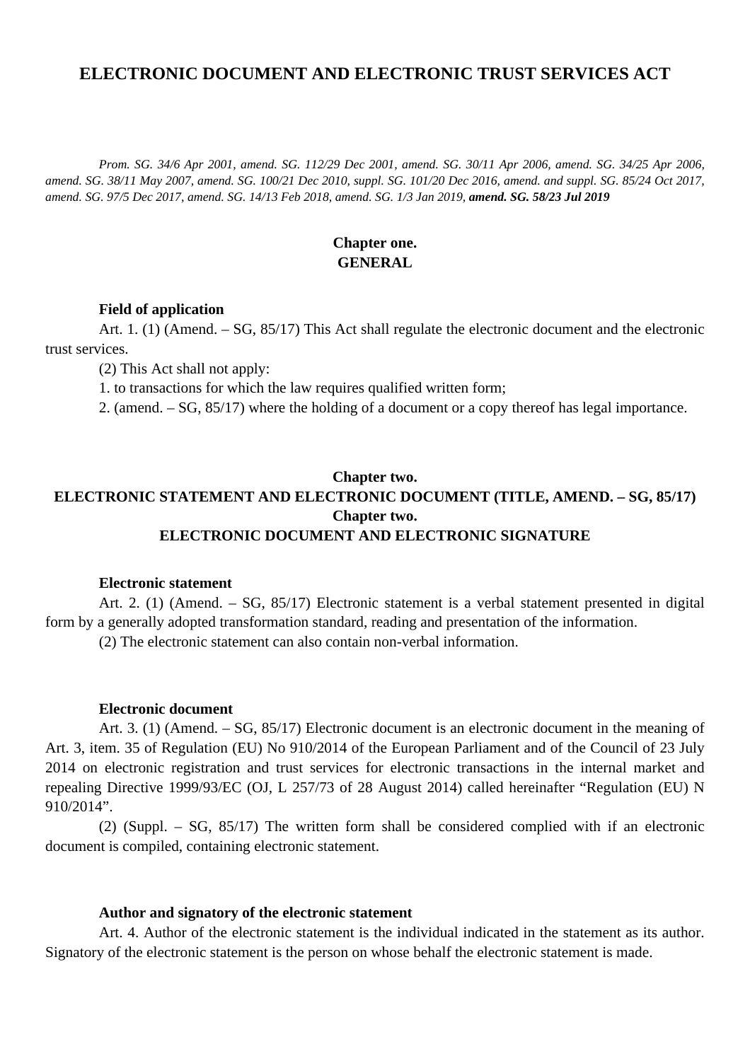# **ELECTRONIC DOCUMENT AND ELECTRONIC TRUST SERVICES ACT**

*Prom. SG. 34/6 Apr 2001, amend. SG. 112/29 Dec 2001, amend. SG. 30/11 Apr 2006, amend. SG. 34/25 Apr 2006, amend. SG. 38/11 May 2007, amend. SG. 100/21 Dec 2010, suppl. SG. 101/20 Dec 2016, amend. and suppl. SG. 85/24 Oct 2017, amend. SG. 97/5 Dec 2017, amend. SG. 14/13 Feb 2018, amend. SG. 1/3 Jan 2019, amend. SG. 58/23 Jul 2019*

### **Chapter one. GENERAL**

### **Field of application**

Art. 1. (1) (Amend. – SG, 85/17) This Act shall regulate the electronic document and the electronic trust services.

(2) This Act shall not apply:

1. to transactions for which the law requires qualified written form;

2. (amend. – SG, 85/17) where the holding of a document or a copy thereof has legal importance.

# **Chapter two. ELECTRONIC STATEMENT AND ELECTRONIC DOCUMENT (TITLE, AMEND. – SG, 85/17) Chapter two. ELECTRONIC DOCUMENT AND ELECTRONIC SIGNATURE**

#### **Electronic statement**

Art. 2. (1) (Amend. – SG, 85/17) Electronic statement is a verbal statement presented in digital form by a generally adopted transformation standard, reading and presentation of the information.

(2) The electronic statement can also contain non-verbal information.

### **Electronic document**

Art. 3. (1) (Amend. – SG, 85/17) Electronic document is an electronic document in the meaning of Art. 3, item. 35 of Regulation (EU) No 910/2014 of the European Parliament and of the Council of 23 July 2014 on electronic registration and trust services for electronic transactions in the internal market and repealing Directive 1999/93/EC (OJ, L 257/73 of 28 August 2014) called hereinafter "Regulation (EU) N 910/2014".

(2) (Suppl. – SG, 85/17) The written form shall be considered complied with if an electronic document is compiled, containing electronic statement.

#### **Author and signatory of the electronic statement**

Art. 4. Author of the electronic statement is the individual indicated in the statement as its author. Signatory of the electronic statement is the person on whose behalf the electronic statement is made.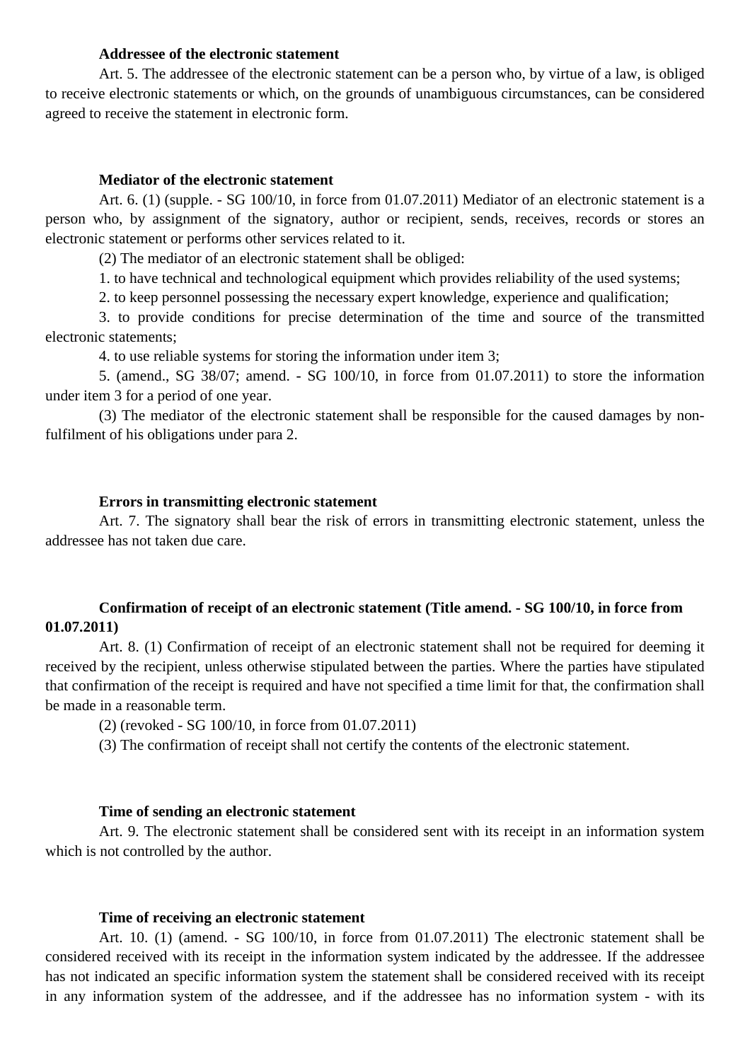### **Addressee of the electronic statement**

Art. 5. The addressee of the electronic statement can be a person who, by virtue of a law, is obliged to receive electronic statements or which, on the grounds of unambiguous circumstances, can be considered agreed to receive the statement in electronic form.

### **Mediator of the electronic statement**

Art. 6. (1) (supple. - SG 100/10, in force from 01.07.2011) Mediator of an electronic statement is a person who, by assignment of the signatory, author or recipient, sends, receives, records or stores an electronic statement or performs other services related to it.

(2) The mediator of an electronic statement shall be obliged:

1. to have technical and technological equipment which provides reliability of the used systems;

2. to keep personnel possessing the necessary expert knowledge, experience and qualification;

3. to provide conditions for precise determination of the time and source of the transmitted electronic statements;

4. to use reliable systems for storing the information under item 3;

5. (amend., SG 38/07; amend. - SG 100/10, in force from 01.07.2011) to store the information under item 3 for a period of one year.

(3) The mediator of the electronic statement shall be responsible for the caused damages by nonfulfilment of his obligations under para 2.

#### **Errors in transmitting electronic statement**

Art. 7. The signatory shall bear the risk of errors in transmitting electronic statement, unless the addressee has not taken due care.

### **Confirmation of receipt of an electronic statement (Title amend. - SG 100/10, in force from 01.07.2011)**

Art. 8. (1) Confirmation of receipt of an electronic statement shall not be required for deeming it received by the recipient, unless otherwise stipulated between the parties. Where the parties have stipulated that confirmation of the receipt is required and have not specified a time limit for that, the confirmation shall be made in a reasonable term.

(2) (revoked - SG 100/10, in force from 01.07.2011)

(3) The confirmation of receipt shall not certify the contents of the electronic statement.

### **Time of sending an electronic statement**

Art. 9. The electronic statement shall be considered sent with its receipt in an information system which is not controlled by the author.

### **Time of receiving an electronic statement**

Art. 10. (1) (amend. - SG 100/10, in force from 01.07.2011) The electronic statement shall be considered received with its receipt in the information system indicated by the addressee. If the addressee has not indicated an specific information system the statement shall be considered received with its receipt in any information system of the addressee, and if the addressee has no information system - with its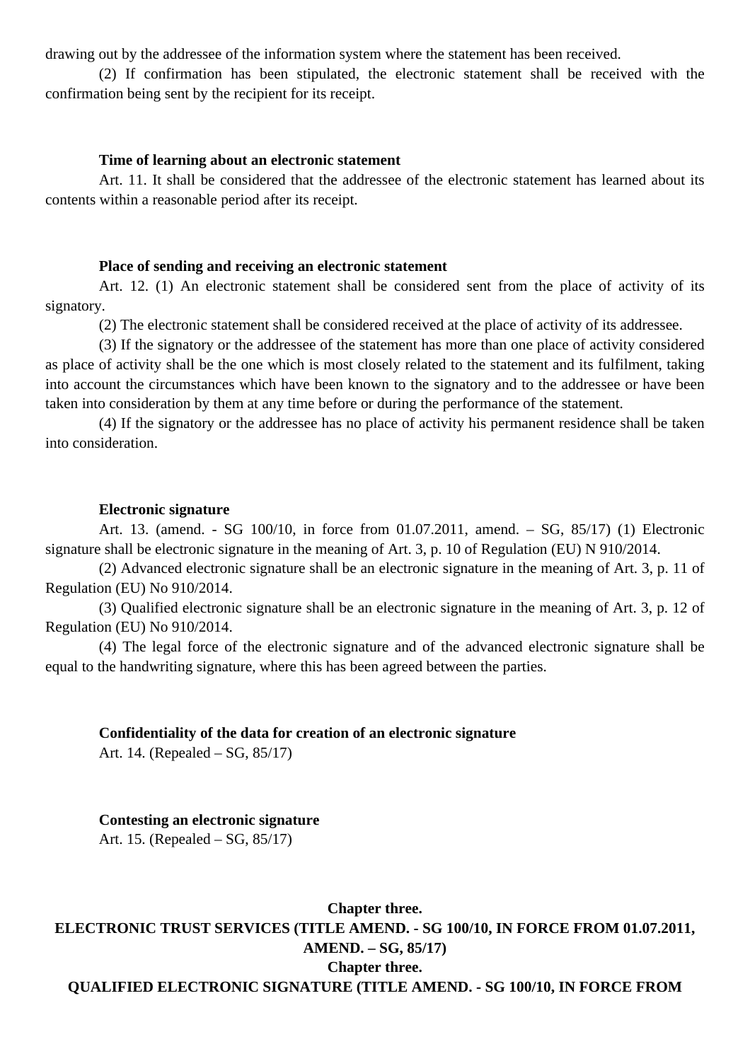drawing out by the addressee of the information system where the statement has been received.

(2) If confirmation has been stipulated, the electronic statement shall be received with the confirmation being sent by the recipient for its receipt.

### **Time of learning about an electronic statement**

Art. 11. It shall be considered that the addressee of the electronic statement has learned about its contents within a reasonable period after its receipt.

#### **Place of sending and receiving an electronic statement**

Art. 12. (1) An electronic statement shall be considered sent from the place of activity of its signatory.

(2) The electronic statement shall be considered received at the place of activity of its addressee.

(3) If the signatory or the addressee of the statement has more than one place of activity considered as place of activity shall be the one which is most closely related to the statement and its fulfilment, taking into account the circumstances which have been known to the signatory and to the addressee or have been taken into consideration by them at any time before or during the performance of the statement.

(4) If the signatory or the addressee has no place of activity his permanent residence shall be taken into consideration.

#### **Electronic signature**

Art. 13. (amend. - SG 100/10, in force from 01.07.2011, amend. – SG, 85/17) (1) Electronic signature shall be electronic signature in the meaning of Art. 3, p. 10 of Regulation (EU) N 910/2014.

(2) Advanced electronic signature shall be an electronic signature in the meaning of Art. 3, p. 11 of Regulation (EU) No 910/2014.

(3) Qualified electronic signature shall be an electronic signature in the meaning of Art. 3, p. 12 of Regulation (EU) No 910/2014.

(4) The legal force of the electronic signature and of the advanced electronic signature shall be equal to the handwriting signature, where this has been agreed between the parties.

#### **Confidentiality of the data for creation of an electronic signature**

Art. 14. (Repealed – SG, 85/17)

**Contesting an electronic signature** Art. 15. (Repealed – SG, 85/17)

**Chapter three. ELECTRONIC TRUST SERVICES (TITLE AMEND. - SG 100/10, IN FORCE FROM 01.07.2011, AMEND. – SG, 85/17) Chapter three. QUALIFIED ELECTRONIC SIGNATURE (TITLE AMEND. - SG 100/10, IN FORCE FROM**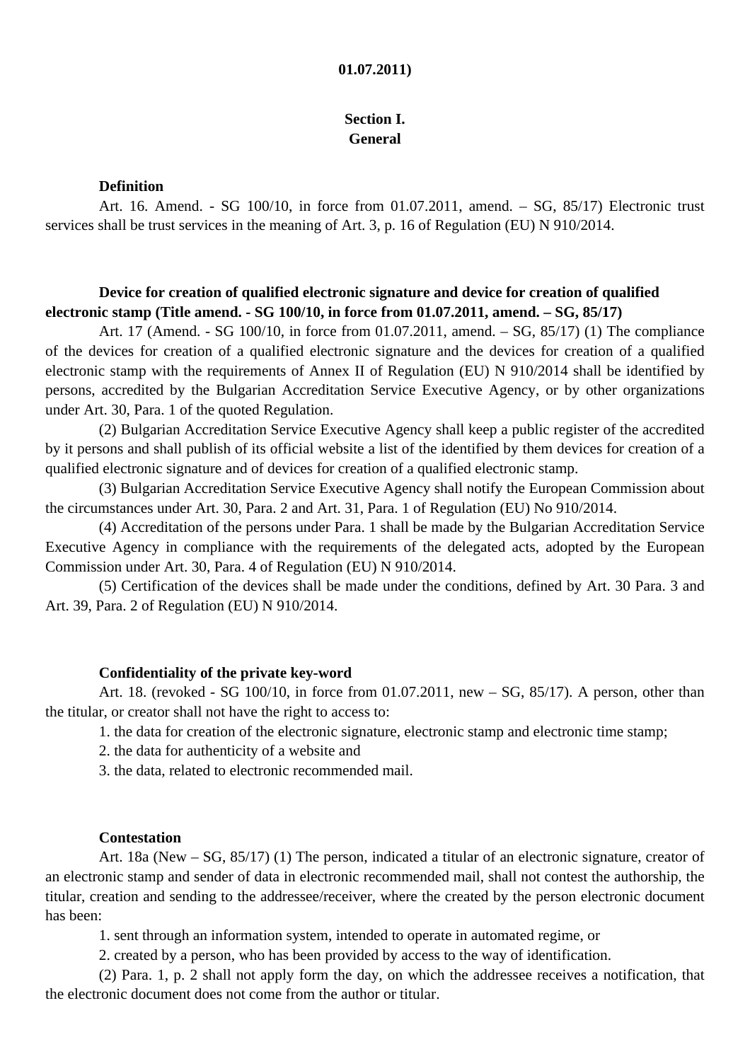#### **01.07.2011)**

### **Section I. General**

### **Definition**

Art. 16. Amend. - SG 100/10, in force from 01.07.2011, amend. – SG, 85/17) Electronic trust services shall be trust services in the meaning of Art. 3, p. 16 of Regulation (EU) N 910/2014.

### **Device for creation of qualified electronic signature and device for creation of qualified electronic stamp (Title amend. - SG 100/10, in force from 01.07.2011, amend. – SG, 85/17)**

Art. 17 (Amend. - SG 100/10, in force from 01.07.2011, amend. – SG, 85/17) (1) The compliance of the devices for creation of a qualified electronic signature and the devices for creation of a qualified electronic stamp with the requirements of Annex II of Regulation (EU) N 910/2014 shall be identified by persons, accredited by the Bulgarian Accreditation Service Executive Agency, or by other organizations under Art. 30, Para. 1 of the quoted Regulation.

(2) Bulgarian Accreditation Service Executive Agency shall keep a public register of the accredited by it persons and shall publish of its official website a list of the identified by them devices for creation of a qualified electronic signature and of devices for creation of a qualified electronic stamp.

(3) Bulgarian Accreditation Service Executive Agency shall notify the European Commission about the circumstances under Art. 30, Para. 2 and Art. 31, Para. 1 of Regulation (EU) No 910/2014.

(4) Accreditation of the persons under Para. 1 shall be made by the Bulgarian Accreditation Service Executive Agency in compliance with the requirements of the delegated acts, adopted by the European Commission under Art. 30, Para. 4 of Regulation (EU) N 910/2014.

(5) Certification of the devices shall be made under the conditions, defined by Art. 30 Para. 3 and Art. 39, Para. 2 of Regulation (EU) N 910/2014.

#### **Confidentiality of the private key-word**

Art. 18. (revoked - SG 100/10, in force from 01.07.2011, new – SG, 85/17). A person, other than the titular, or creator shall not have the right to access to:

1. the data for creation of the electronic signature, electronic stamp and electronic time stamp;

2. the data for authenticity of a website and

3. the data, related to electronic recommended mail.

### **Contestation**

Art. 18a (New – SG, 85/17) (1) The person, indicated a titular of an electronic signature, creator of an electronic stamp and sender of data in electronic recommended mail, shall not contest the authorship, the titular, creation and sending to the addressee/receiver, where the created by the person electronic document has been:

1. sent through an information system, intended to operate in automated regime, or

2. created by a person, who has been provided by access to the way of identification.

(2) Para. 1, p. 2 shall not apply form the day, on which the addressee receives a notification, that the electronic document does not come from the author or titular.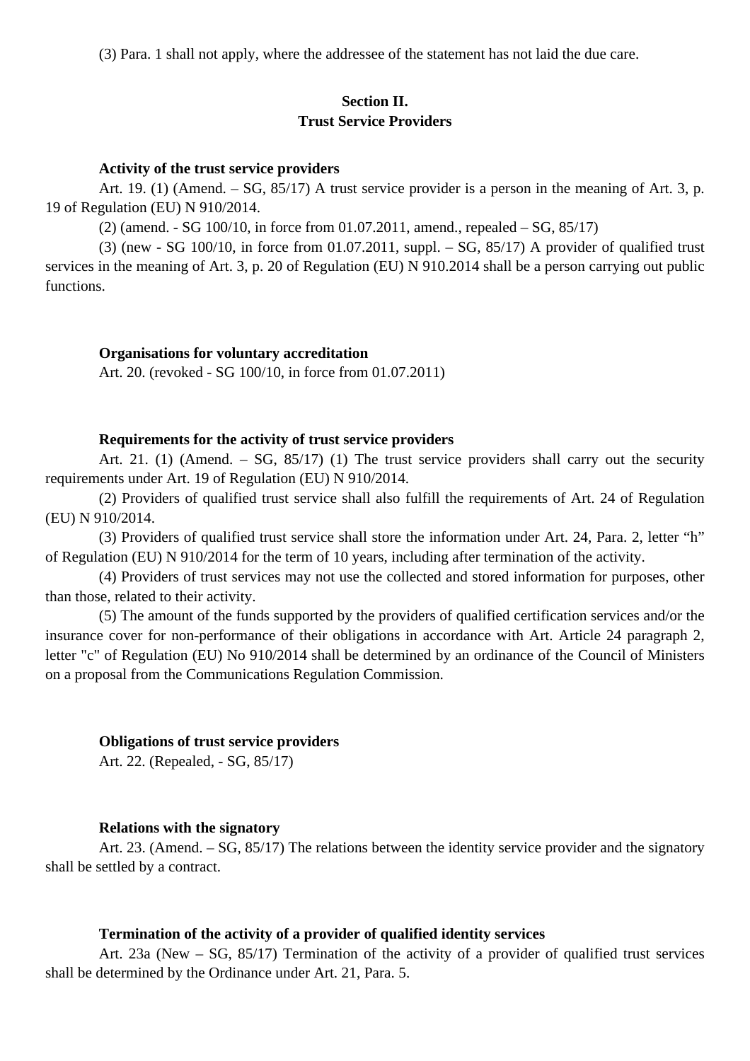(3) Para. 1 shall not apply, where the addressee of the statement has not laid the due care.

### **Section II. Trust Service Providers**

#### **Activity of the trust service providers**

Art. 19. (1) (Amend. – SG, 85/17) A trust service provider is a person in the meaning of Art. 3, p. 19 of Regulation (EU) N 910/2014.

(2) (amend. - SG 100/10, in force from 01.07.2011, amend., repealed – SG, 85/17)

 $(3)$  (new - SG 100/10, in force from 01.07.2011, suppl. – SG, 85/17) A provider of qualified trust services in the meaning of Art. 3, p. 20 of Regulation (EU) N 910.2014 shall be a person carrying out public functions.

#### **Organisations for voluntary accreditation**

Art. 20. (revoked - SG 100/10, in force from 01.07.2011)

### **Requirements for the activity of trust service providers**

Art. 21. (1) (Amend. – SG, 85/17) (1) The trust service providers shall carry out the security requirements under Art. 19 of Regulation (EU) N 910/2014.

(2) Providers of qualified trust service shall also fulfill the requirements of Art. 24 of Regulation (EU) N 910/2014.

(3) Providers of qualified trust service shall store the information under Art. 24, Para. 2, letter "h" of Regulation (EU) N 910/2014 for the term of 10 years, including after termination of the activity.

(4) Providers of trust services may not use the collected and stored information for purposes, other than those, related to their activity.

(5) The amount of the funds supported by the providers of qualified certification services and/or the insurance cover for non-performance of their obligations in accordance with Art. Article 24 paragraph 2, letter "c" of Regulation (EU) No 910/2014 shall be determined by an ordinance of the Council of Ministers on a proposal from the Communications Regulation Commission.

#### **Obligations of trust service providers**

Art. 22. (Repealed, - SG, 85/17)

#### **Relations with the signatory**

Art. 23. (Amend. – SG, 85/17) The relations between the identity service provider and the signatory shall be settled by a contract.

### **Termination of the activity of a provider of qualified identity services**

Art. 23a (New – SG, 85/17) Termination of the activity of a provider of qualified trust services shall be determined by the Ordinance under Art. 21, Para. 5.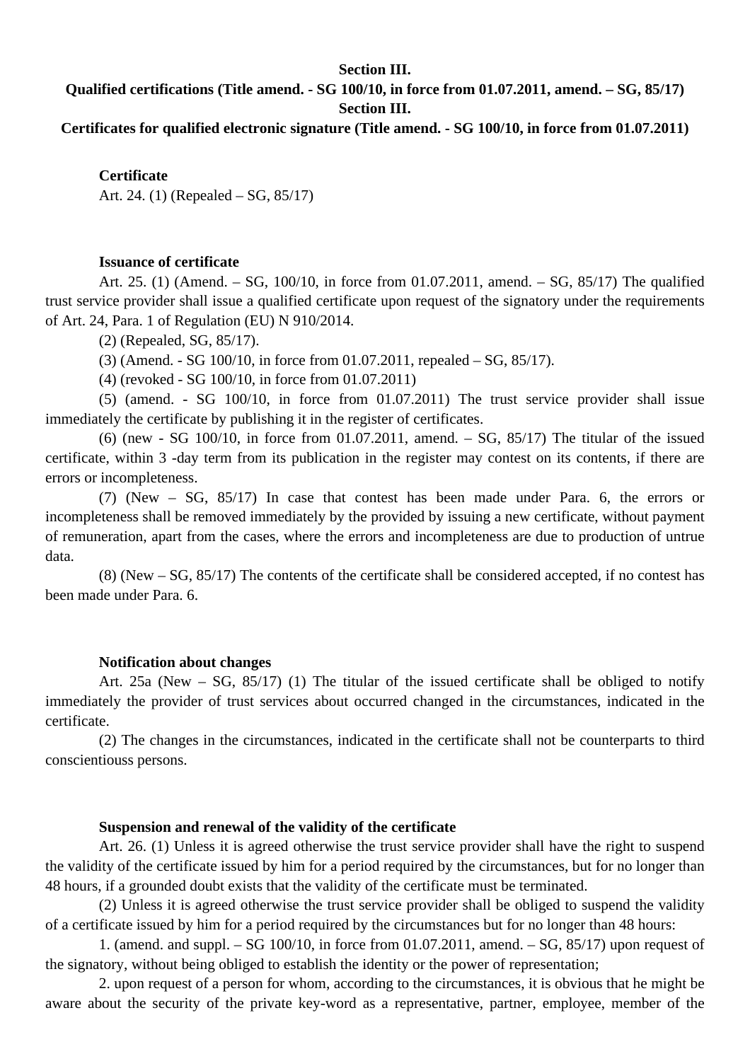### **Section III.**

# **Qualified certifications (Title amend. - SG 100/10, in force from 01.07.2011, amend. – SG, 85/17) Section III.**

**Certificates for qualified electronic signature (Title amend. - SG 100/10, in force from 01.07.2011)**

**Certificate**

Art. 24. (1) (Repealed – SG, 85/17)

### **Issuance of certificate**

Art. 25. (1) (Amend. – SG, 100/10, in force from 01.07.2011, amend. – SG, 85/17) The qualified trust service provider shall issue a qualified certificate upon request of the signatory under the requirements of Art. 24, Para. 1 of Regulation (EU) N 910/2014.

(2) (Repealed, SG, 85/17).

(3) (Amend. - SG 100/10, in force from 01.07.2011, repealed – SG, 85/17).

(4) (revoked - SG 100/10, in force from 01.07.2011)

(5) (amend. - SG 100/10, in force from 01.07.2011) The trust service provider shall issue immediately the certificate by publishing it in the register of certificates.

(6) (new - SG 100/10, in force from 01.07.2011, amend.  $-$  SG, 85/17) The titular of the issued certificate, within 3 -day term from its publication in the register may contest on its contents, if there are errors or incompleteness.

(7) (New – SG, 85/17) In case that contest has been made under Para. 6, the errors or incompleteness shall be removed immediately by the provided by issuing a new certificate, without payment of remuneration, apart from the cases, where the errors and incompleteness are due to production of untrue data.

(8) (New – SG, 85/17) The contents of the certificate shall be considered accepted, if no contest has been made under Para. 6.

#### **Notification about changes**

Art. 25a (New – SG, 85/17) (1) The titular of the issued certificate shall be obliged to notify immediately the provider of trust services about occurred changed in the circumstances, indicated in the certificate.

(2) The changes in the circumstances, indicated in the certificate shall not be counterparts to third conscientiouss persons.

#### **Suspension and renewal of the validity of the certificate**

Art. 26. (1) Unless it is agreed otherwise the trust service provider shall have the right to suspend the validity of the certificate issued by him for a period required by the circumstances, but for no longer than 48 hours, if a grounded doubt exists that the validity of the certificate must be terminated.

(2) Unless it is agreed otherwise the trust service provider shall be obliged to suspend the validity of a certificate issued by him for a period required by the circumstances but for no longer than 48 hours:

1. (amend. and suppl. – SG 100/10, in force from 01.07.2011, amend. – SG, 85/17) upon request of the signatory, without being obliged to establish the identity or the power of representation;

2. upon request of a person for whom, according to the circumstances, it is obvious that he might be aware about the security of the private key-word as a representative, partner, employee, member of the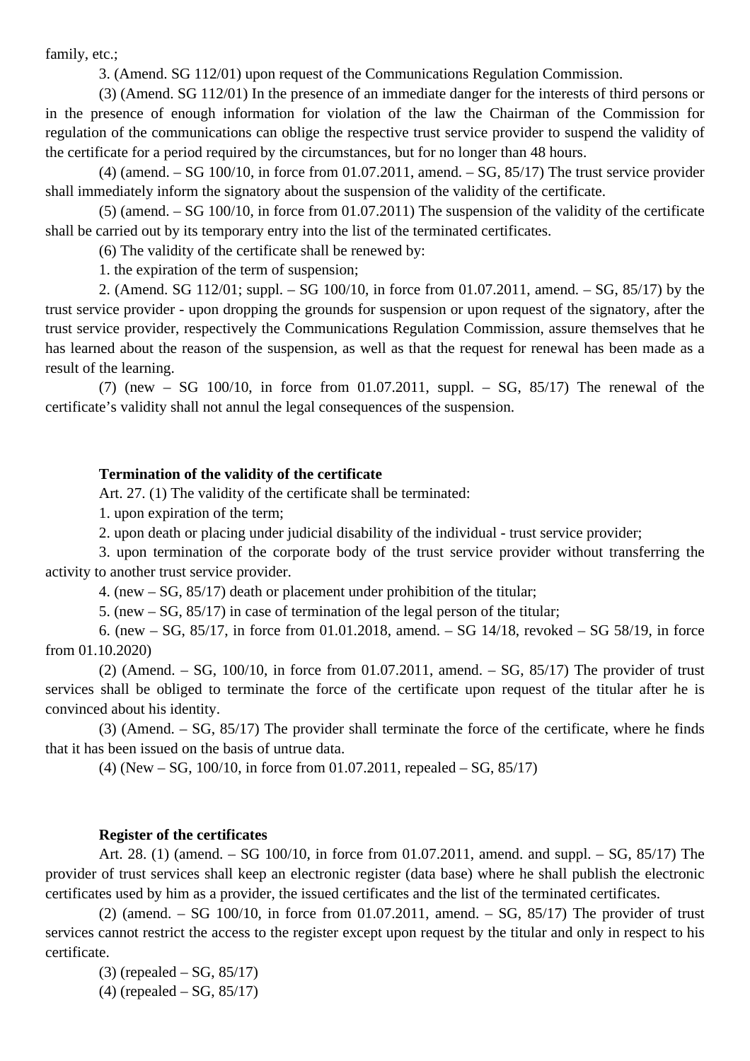family, etc.;

3. (Amend. SG 112/01) upon request of the Communications Regulation Commission.

(3) (Amend. SG 112/01) In the presence of an immediate danger for the interests of third persons or in the presence of enough information for violation of the law the Chairman of the Commission for regulation of the communications can oblige the respective trust service provider to suspend the validity of the certificate for a period required by the circumstances, but for no longer than 48 hours.

 $(4)$  (amend. – SG 100/10, in force from 01.07.2011, amend. – SG, 85/17) The trust service provider shall immediately inform the signatory about the suspension of the validity of the certificate.

(5) (amend. – SG 100/10, in force from 01.07.2011) The suspension of the validity of the certificate shall be carried out by its temporary entry into the list of the terminated certificates.

(6) The validity of the certificate shall be renewed by:

1. the expiration of the term of suspension;

2. (Amend. SG 112/01; suppl. – SG 100/10, in force from 01.07.2011, amend. – SG, 85/17) by the trust service provider - upon dropping the grounds for suspension or upon request of the signatory, after the trust service provider, respectively the Communications Regulation Commission, assure themselves that he has learned about the reason of the suspension, as well as that the request for renewal has been made as a result of the learning.

(7) (new – SG 100/10, in force from 01.07.2011, suppl. – SG,  $85/17$ ) The renewal of the certificate's validity shall not annul the legal consequences of the suspension.

### **Termination of the validity of the certificate**

Art. 27. (1) The validity of the certificate shall be terminated:

1. upon expiration of the term;

2. upon death or placing under judicial disability of the individual - trust service provider;

3. upon termination of the corporate body of the trust service provider without transferring the activity to another trust service provider.

4. (new – SG, 85/17) death or placement under prohibition of the titular;

5. (new – SG, 85/17) in case of termination of the legal person of the titular;

6. (new – SG, 85/17, in force from 01.01.2018, amend. – SG 14/18, revoked – SG 58/19, in force from 01.10.2020)

(2) (Amend. – SG,  $100/10$ , in force from 01.07.2011, amend. – SG,  $85/17$ ) The provider of trust services shall be obliged to terminate the force of the certificate upon request of the titular after he is convinced about his identity.

(3) (Amend. – SG, 85/17) The provider shall terminate the force of the certificate, where he finds that it has been issued on the basis of untrue data.

(4) (New – SG, 100/10, in force from 01.07.2011, repealed – SG, 85/17)

### **Register of the certificates**

Art. 28. (1) (amend. – SG 100/10, in force from 01.07.2011, amend. and suppl. – SG, 85/17) The provider of trust services shall keep an electronic register (data base) where he shall publish the electronic certificates used by him as a provider, the issued certificates and the list of the terminated certificates.

(2) (amend. – SG 100/10, in force from 01.07.2011, amend. – SG,  $85/17$ ) The provider of trust services cannot restrict the access to the register except upon request by the titular and only in respect to his certificate.

(3) (repealed – SG, 85/17)

(4) (repealed – SG, 85/17)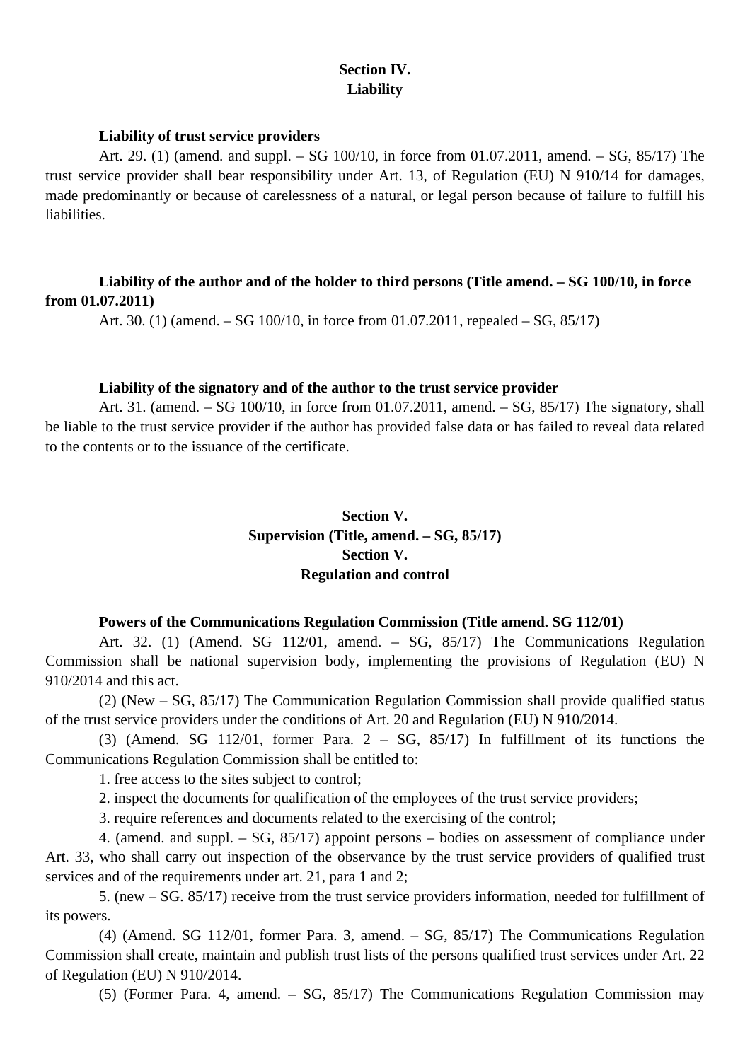# **Section IV. Liability**

### **Liability of trust service providers**

Art. 29. (1) (amend. and suppl. – SG 100/10, in force from 01.07.2011, amend. – SG, 85/17) The trust service provider shall bear responsibility under Art. 13, of Regulation (EU) N 910/14 for damages, made predominantly or because of carelessness of a natural, or legal person because of failure to fulfill his liabilities.

# **Liability of the author and of the holder to third persons (Title amend. – SG 100/10, in force from 01.07.2011)**

Art. 30. (1) (amend. – SG 100/10, in force from 01.07.2011, repealed – SG, 85/17)

### **Liability of the signatory and of the author to the trust service provider**

Art. 31. (amend. – SG 100/10, in force from 01.07.2011, amend. – SG, 85/17) The signatory, shall be liable to the trust service provider if the author has provided false data or has failed to reveal data related to the contents or to the issuance of the certificate.

# **Section V. Supervision (Title, amend. – SG, 85/17) Section V. Regulation and control**

## **Powers of the Communications Regulation Commission (Title amend. SG 112/01)**

Art. 32. (1) (Amend. SG 112/01, amend. – SG, 85/17) The Communications Regulation Commission shall be national supervision body, implementing the provisions of Regulation (EU) N 910/2014 and this act.

(2) (New – SG, 85/17) The Communication Regulation Commission shall provide qualified status of the trust service providers under the conditions of Art. 20 and Regulation (EU) N 910/2014.

(3) (Amend. SG  $112/01$ , former Para.  $2 - SG$ ,  $85/17$ ) In fulfillment of its functions the Communications Regulation Commission shall be entitled to:

1. free access to the sites subject to control;

2. inspect the documents for qualification of the employees of the trust service providers;

3. require references and documents related to the exercising of the control;

4. (amend. and suppl. – SG, 85/17) appoint persons – bodies on assessment of compliance under Art. 33, who shall carry out inspection of the observance by the trust service providers of qualified trust services and of the requirements under art. 21, para 1 and 2:

5. (new – SG. 85/17) receive from the trust service providers information, needed for fulfillment of its powers.

(4) (Amend. SG 112/01, former Para. 3, amend. – SG, 85/17) The Communications Regulation Commission shall create, maintain and publish trust lists of the persons qualified trust services under Art. 22 of Regulation (EU) N 910/2014.

(5) (Former Para. 4, amend. – SG, 85/17) The Communications Regulation Commission may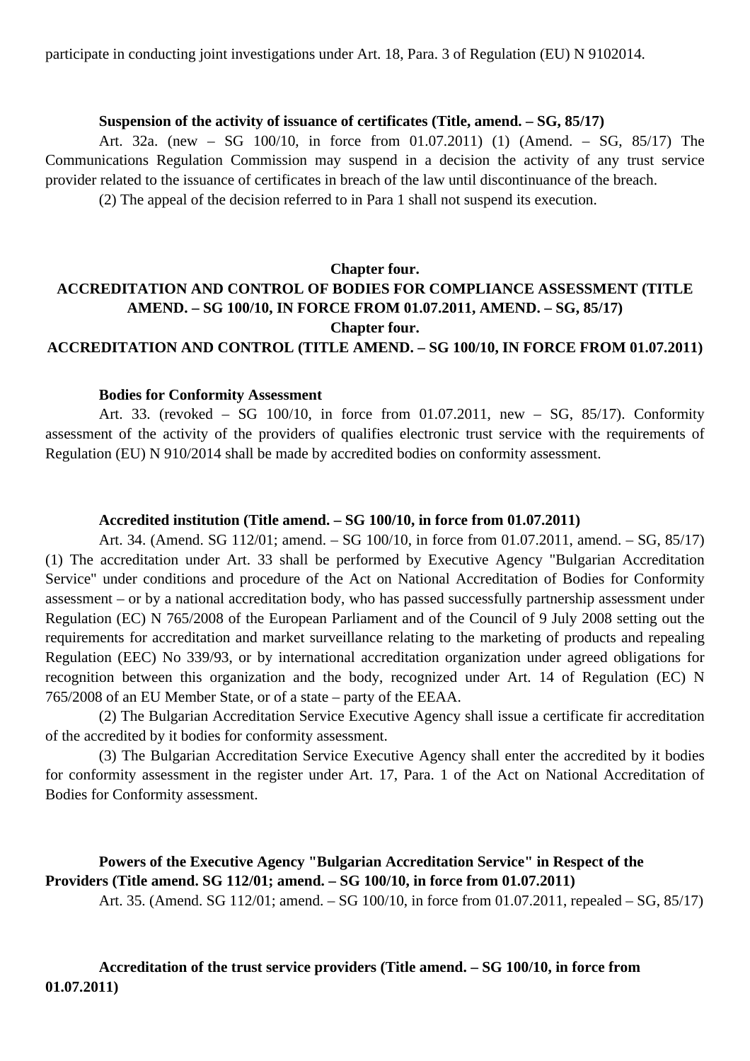participate in conducting joint investigations under Art. 18, Para. 3 of Regulation (EU) N 9102014.

### **Suspension of the activity of issuance of certificates (Title, amend. – SG, 85/17)**

Art. 32a. (new – SG 100/10, in force from 01.07.2011) (1) (Amend. – SG, 85/17) The Communications Regulation Commission may suspend in a decision the activity of any trust service provider related to the issuance of certificates in breach of the law until discontinuance of the breach.

(2) The appeal of the decision referred to in Para 1 shall not suspend its execution.

# **Chapter four.**

# **ACCREDITATION AND CONTROL OF BODIES FOR COMPLIANCE ASSESSMENT (TITLE AMEND. – SG 100/10, IN FORCE FROM 01.07.2011, AMEND. – SG, 85/17) Chapter four. ACCREDITATION AND CONTROL (TITLE AMEND. – SG 100/10, IN FORCE FROM 01.07.2011)**

#### **Bodies for Conformity Assessment**

Art. 33. (revoked – SG 100/10, in force from 01.07.2011, new – SG, 85/17). Conformity assessment of the activity of the providers of qualifies electronic trust service with the requirements of Regulation (EU) N 910/2014 shall be made by accredited bodies on conformity assessment.

### **Accredited institution (Title amend. – SG 100/10, in force from 01.07.2011)**

Art. 34. (Amend. SG 112/01; amend. – SG 100/10, in force from 01.07.2011, amend. – SG, 85/17) (1) The accreditation under Art. 33 shall be performed by Executive Agency "Bulgarian Accreditation Service" under conditions and procedure of the Act on National Accreditation of Bodies for Conformity assessment – or by a national accreditation body, who has passed successfully partnership assessment under Regulation (EC) N 765/2008 of the European Parliament and of the Council of 9 July 2008 setting out the requirements for accreditation and market surveillance relating to the marketing of products and repealing Regulation (EEC) No 339/93, or by international accreditation organization under agreed obligations for recognition between this organization and the body, recognized under Art. 14 of Regulation (EC) N 765/2008 of an EU Member State, or of a state – party of the EEAA.

(2) The Bulgarian Accreditation Service Executive Agency shall issue a certificate fir accreditation of the accredited by it bodies for conformity assessment.

(3) The Bulgarian Accreditation Service Executive Agency shall enter the accredited by it bodies for conformity assessment in the register under Art. 17, Para. 1 of the Act on National Accreditation of Bodies for Conformity assessment.

# **Powers of the Executive Agency "Bulgarian Accreditation Service" in Respect of the Providers (Title amend. SG 112/01; amend. – SG 100/10, in force from 01.07.2011)**

Art. 35. (Amend. SG 112/01; amend. – SG 100/10, in force from 01.07.2011, repealed – SG, 85/17)

**Accreditation of the trust service providers (Title amend. – SG 100/10, in force from 01.07.2011)**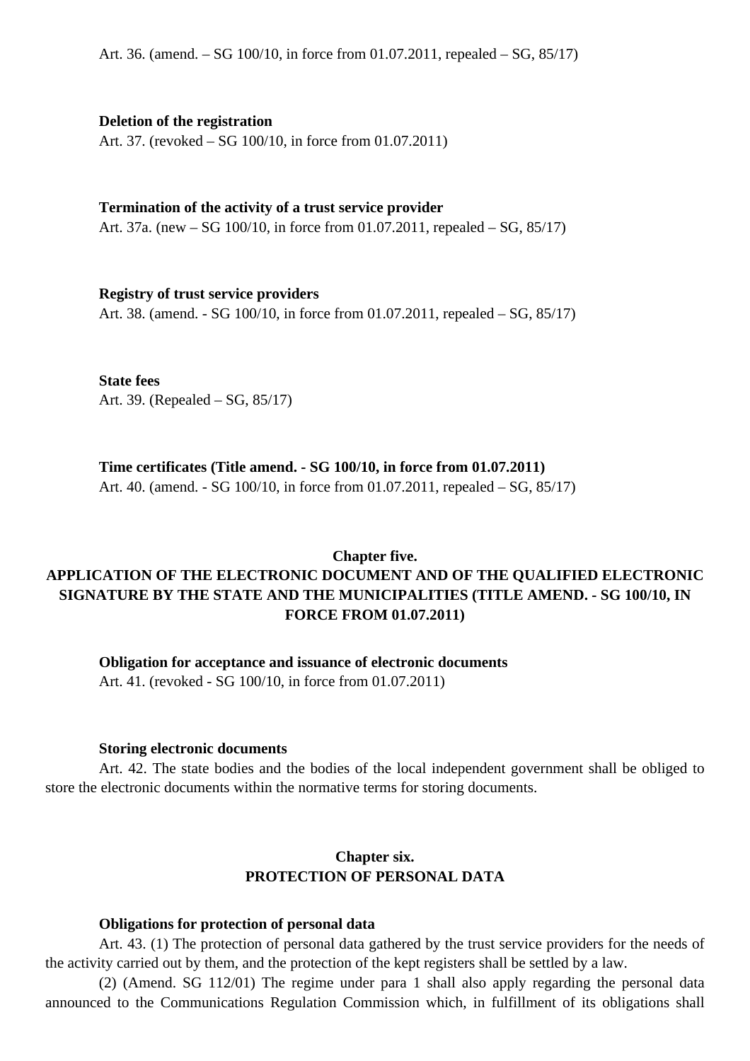### **Deletion of the registration**

Art. 37. (revoked – SG 100/10, in force from 01.07.2011)

### **Termination of the activity of a trust service provider**

Art. 37a. (new – SG 100/10, in force from 01.07.2011, repealed – SG, 85/17)

### **Registry of trust service providers**

Art. 38. (amend. - SG 100/10, in force from 01.07.2011, repealed – SG, 85/17)

**State fees** Art. 39. (Repealed – SG, 85/17)

### **Time certificates (Title amend. - SG 100/10, in force from 01.07.2011)**

Art. 40. (amend. - SG 100/10, in force from 01.07.2011, repealed – SG, 85/17)

### **Chapter five.**

# **APPLICATION OF THE ELECTRONIC DOCUMENT AND OF THE QUALIFIED ELECTRONIC SIGNATURE BY THE STATE AND THE MUNICIPALITIES (TITLE AMEND. - SG 100/10, IN FORCE FROM 01.07.2011)**

**Obligation for acceptance and issuance of electronic documents**

Art. 41. (revoked - SG 100/10, in force from 01.07.2011)

### **Storing electronic documents**

Art. 42. The state bodies and the bodies of the local independent government shall be obliged to store the electronic documents within the normative terms for storing documents.

## **Chapter six. PROTECTION OF PERSONAL DATA**

### **Obligations for protection of personal data**

Art. 43. (1) The protection of personal data gathered by the trust service providers for the needs of the activity carried out by them, and the protection of the kept registers shall be settled by a law.

(2) (Amend. SG 112/01) The regime under para 1 shall also apply regarding the personal data announced to the Communications Regulation Commission which, in fulfillment of its obligations shall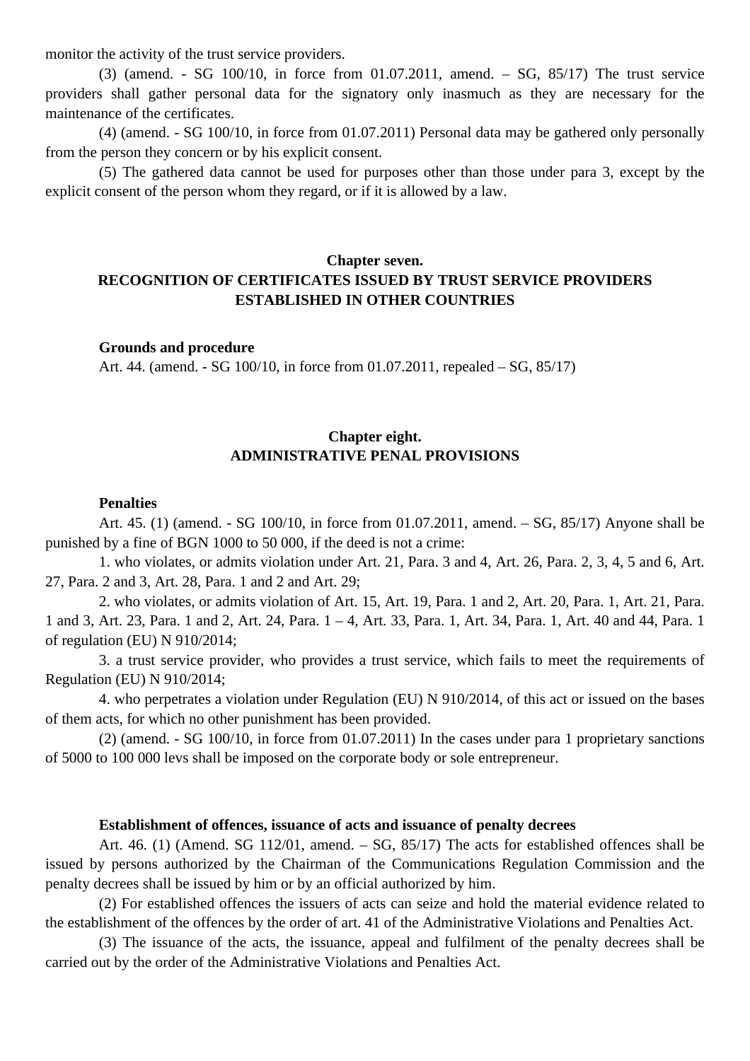monitor the activity of the trust service providers.

(3) (amend. - SG 100/10, in force from 01.07.2011, amend. – SG, 85/17) The trust service providers shall gather personal data for the signatory only inasmuch as they are necessary for the maintenance of the certificates.

(4) (amend. - SG 100/10, in force from 01.07.2011) Personal data may be gathered only personally from the person they concern or by his explicit consent.

(5) The gathered data cannot be used for purposes other than those under para 3, except by the explicit consent of the person whom they regard, or if it is allowed by a law.

## **Chapter seven. RECOGNITION OF CERTIFICATES ISSUED BY TRUST SERVICE PROVIDERS ESTABLISHED IN OTHER COUNTRIES**

#### **Grounds and procedure**

Art. 44. (amend. - SG 100/10, in force from 01.07.2011, repealed – SG, 85/17)

# **Chapter eight. ADMINISTRATIVE PENAL PROVISIONS**

#### **Penalties**

Art. 45. (1) (amend. - SG 100/10, in force from 01.07.2011, amend. – SG, 85/17) Anyone shall be punished by a fine of BGN 1000 to 50 000, if the deed is not a crime:

1. who violates, or admits violation under Art. 21, Para. 3 and 4, Art. 26, Para. 2, 3, 4, 5 and 6, Art. 27, Para. 2 and 3, Art. 28, Para. 1 and 2 and Art. 29;

2. who violates, or admits violation of Art. 15, Art. 19, Para. 1 and 2, Art. 20, Para. 1, Art. 21, Para. 1 and 3, Art. 23, Para. 1 and 2, Art. 24, Para. 1 – 4, Art. 33, Para. 1, Art. 34, Para. 1, Art. 40 and 44, Para. 1 of regulation (EU) N 910/2014;

3. a trust service provider, who provides a trust service, which fails to meet the requirements of Regulation (EU) N 910/2014;

4. who perpetrates a violation under Regulation (EU) N 910/2014, of this act or issued on the bases of them acts, for which no other punishment has been provided.

(2) (amend. - SG 100/10, in force from 01.07.2011) In the cases under para 1 proprietary sanctions of 5000 to 100 000 levs shall be imposed on the corporate body or sole entrepreneur.

#### **Establishment of offences, issuance of acts and issuance of penalty decrees**

Art. 46. (1) (Amend. SG 112/01, amend. – SG, 85/17) The acts for established offences shall be issued by persons authorized by the Chairman of the Communications Regulation Commission and the penalty decrees shall be issued by him or by an official authorized by him.

(2) For established offences the issuers of acts can seize and hold the material evidence related to the establishment of the offences by the order of art. 41 of the Administrative Violations and Penalties Act.

(3) The issuance of the acts, the issuance, appeal and fulfilment of the penalty decrees shall be carried out by the order of the Administrative Violations and Penalties Act.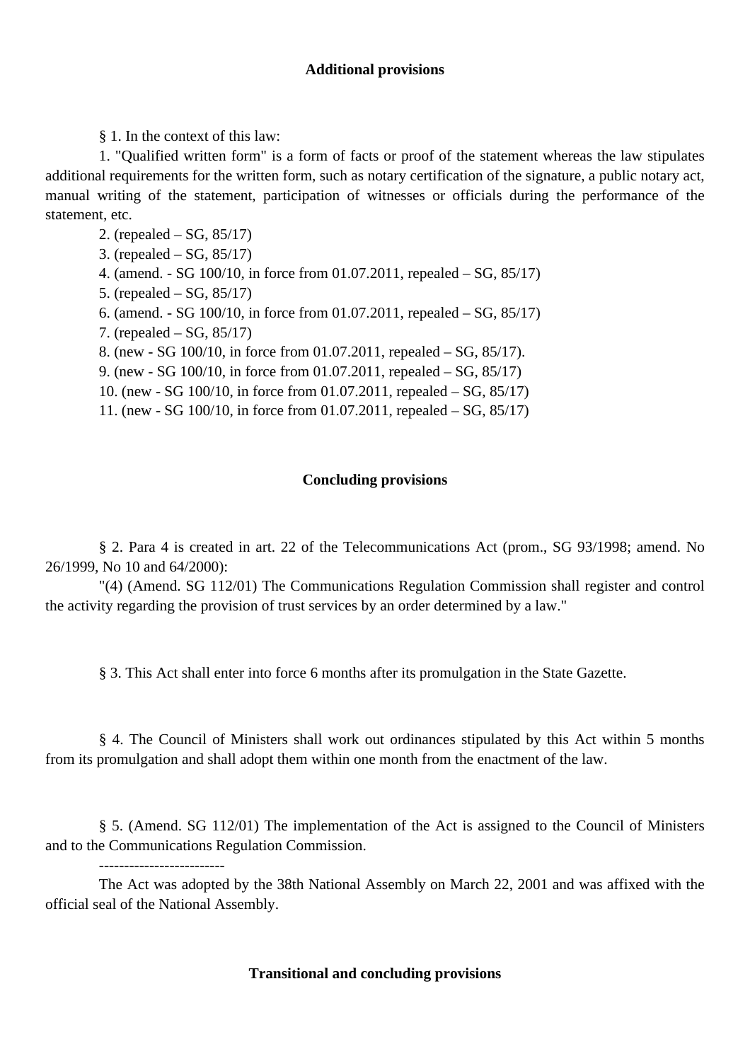### **Additional provisions**

§ 1. In the context of this law:

1. "Qualified written form" is a form of facts or proof of the statement whereas the law stipulates additional requirements for the written form, such as notary certification of the signature, a public notary act, manual writing of the statement, participation of witnesses or officials during the performance of the statement, etc.

2. (repealed – SG, 85/17)

3. (repealed – SG, 85/17)

- 4. (amend. SG 100/10, in force from 01.07.2011, repealed SG, 85/17)
- 5. (repealed SG, 85/17)
- 6. (amend. SG 100/10, in force from 01.07.2011, repealed SG, 85/17)
- 7. (repealed SG, 85/17)

-------------------------

8. (new - SG 100/10, in force from 01.07.2011, repealed – SG, 85/17).

9. (new - SG 100/10, in force from 01.07.2011, repealed – SG, 85/17)

10. (new - SG 100/10, in force from 01.07.2011, repealed – SG, 85/17)

11. (new - SG 100/10, in force from 01.07.2011, repealed – SG, 85/17)

### **Concluding provisions**

§ 2. Para 4 is created in art. 22 of the Telecommunications Act (prom., SG 93/1998; amend. No 26/1999, No 10 and 64/2000):

"(4) (Amend. SG 112/01) The Communications Regulation Commission shall register and control the activity regarding the provision of trust services by an order determined by a law."

§ 3. This Act shall enter into force 6 months after its promulgation in the State Gazette.

§ 4. The Council of Ministers shall work out ordinances stipulated by this Act within 5 months from its promulgation and shall adopt them within one month from the enactment of the law.

§ 5. (Amend. SG 112/01) The implementation of the Act is assigned to the Council of Ministers and to the Communications Regulation Commission.

The Act was adopted by the 38th National Assembly on March 22, 2001 and was affixed with the official seal of the National Assembly.

## **Transitional and concluding provisions**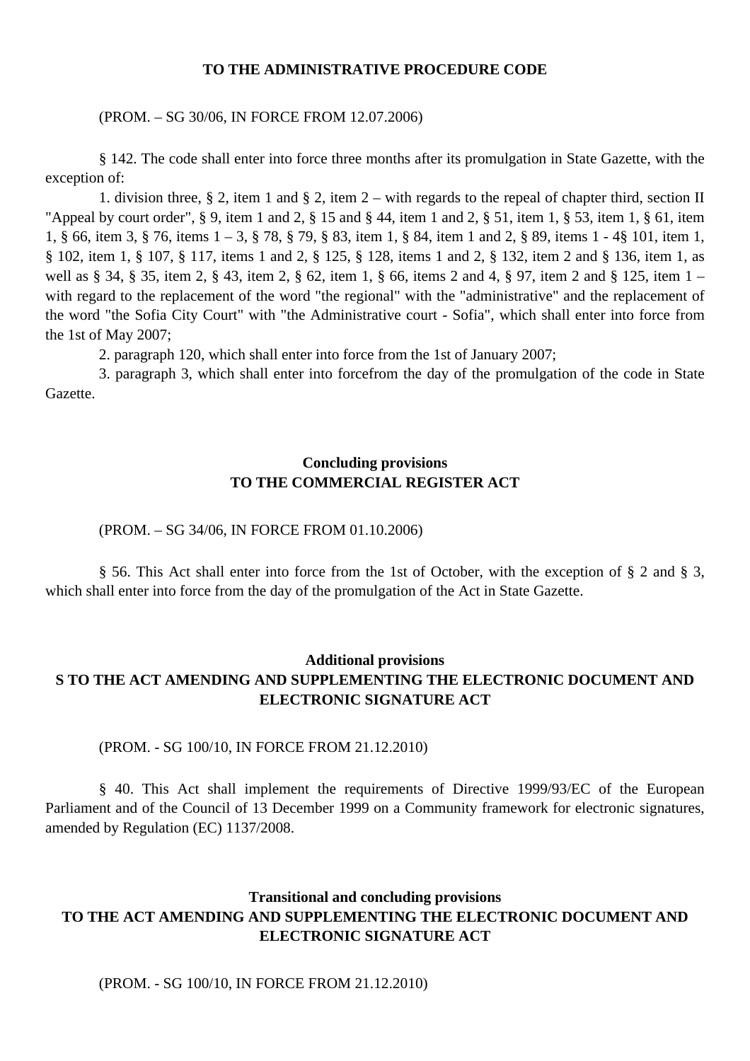#### **TO THE ADMINISTRATIVE PROCEDURE CODE**

#### (PROM. – SG 30/06, IN FORCE FROM 12.07.2006)

§ 142. The code shall enter into force three months after its promulgation in State Gazette, with the exception of:

1. division three, § 2, item 1 and § 2, item 2 – with regards to the repeal of chapter third, section II "Appeal by court order", § 9, item 1 and 2, § 15 and § 44, item 1 and 2, § 51, item 1, § 53, item 1, § 61, item 1, § 66, item 3, § 76, items 1 – 3, § 78, § 79, § 83, item 1, § 84, item 1 and 2, § 89, items 1 - 4§ 101, item 1, § 102, item 1, § 107, § 117, items 1 and 2, § 125, § 128, items 1 and 2, § 132, item 2 and § 136, item 1, as well as § 34, § 35, item 2, § 43, item 2, § 62, item 1, § 66, items 2 and 4, § 97, item 2 and § 125, item 1 – with regard to the replacement of the word "the regional" with the "administrative" and the replacement of the word "the Sofia City Court" with "the Administrative court - Sofia", which shall enter into force from the 1st of May 2007;

2. paragraph 120, which shall enter into force from the 1st of January 2007;

3. paragraph 3, which shall enter into forcefrom the day of the promulgation of the code in State Gazette.

## **Concluding provisions TO THE COMMERCIAL REGISTER ACT**

#### (PROM. – SG 34/06, IN FORCE FROM 01.10.2006)

§ 56. This Act shall enter into force from the 1st of October, with the exception of § 2 and § 3, which shall enter into force from the day of the promulgation of the Act in State Gazette.

# **Additional provisions S TO THE ACT AMENDING AND SUPPLEMENTING THE ELECTRONIC DOCUMENT AND ELECTRONIC SIGNATURE ACT**

(PROM. - SG 100/10, IN FORCE FROM 21.12.2010)

§ 40. This Act shall implement the requirements of Directive 1999/93/EC of the European Parliament and of the Council of 13 December 1999 on a Community framework for electronic signatures, amended by Regulation (EC) 1137/2008.

# **Transitional and concluding provisions TO THE ACT AMENDING AND SUPPLEMENTING THE ELECTRONIC DOCUMENT AND ELECTRONIC SIGNATURE ACT**

(PROM. - SG 100/10, IN FORCE FROM 21.12.2010)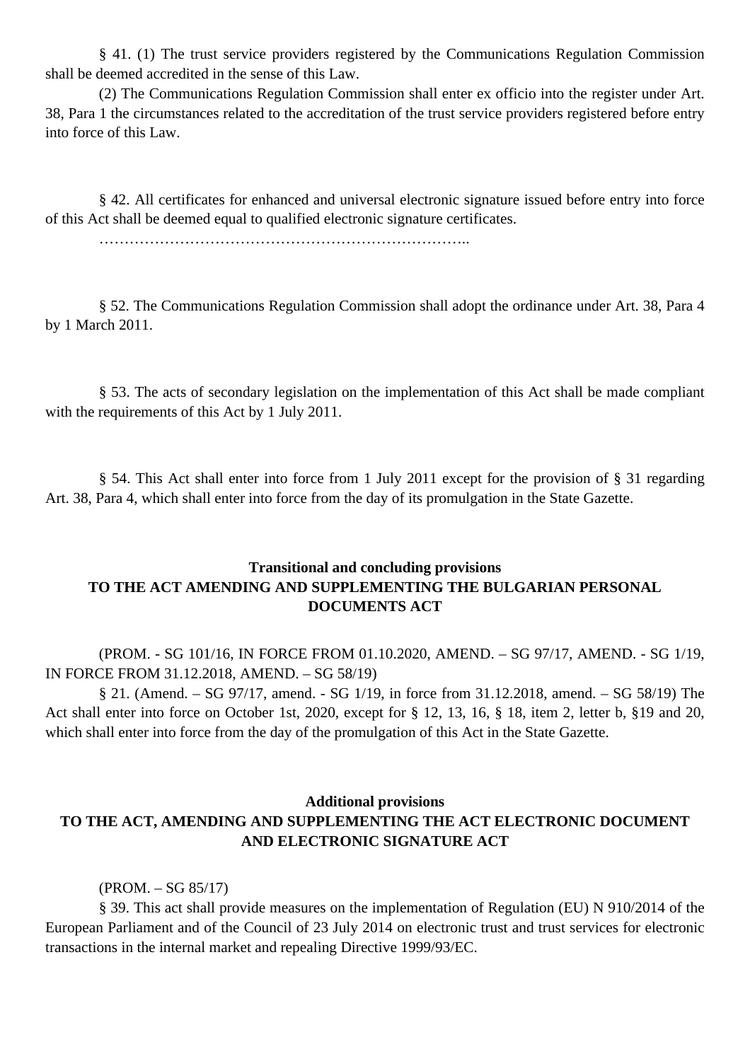§ 41. (1) The trust service providers registered by the Communications Regulation Commission shall be deemed accredited in the sense of this Law.

(2) The Communications Regulation Commission shall enter ex officio into the register under Art. 38, Para 1 the circumstances related to the accreditation of the trust service providers registered before entry into force of this Law.

§ 42. All certificates for enhanced and universal electronic signature issued before entry into force of this Act shall be deemed equal to qualified electronic signature certificates.

………………………………………………………………..

§ 52. The Communications Regulation Commission shall adopt the ordinance under Art. 38, Para 4 by 1 March 2011.

§ 53. The acts of secondary legislation on the implementation of this Act shall be made compliant with the requirements of this Act by 1 July 2011.

§ 54. This Act shall enter into force from 1 July 2011 except for the provision of § 31 regarding Art. 38, Para 4, which shall enter into force from the day of its promulgation in the State Gazette.

# **Transitional and concluding provisions TO THE ACT AMENDING AND SUPPLEMENTING THE BULGARIAN PERSONAL DOCUMENTS ACT**

(PROM. - SG 101/16, IN FORCE FROM 01.10.2020, AMEND. – SG 97/17, AMEND. - SG 1/19, IN FORCE FROM 31.12.2018, AMEND. – SG 58/19)

§ 21. (Amend. – SG 97/17, amend. - SG 1/19, in force from 31.12.2018, amend. – SG 58/19) The Act shall enter into force on October 1st, 2020, except for § 12, 13, 16, § 18, item 2, letter b, §19 and 20, which shall enter into force from the day of the promulgation of this Act in the State Gazette.

### **Additional provisions**

# **TO THE ACT, AMENDING AND SUPPLEMENTING THE ACT ELECTRONIC DOCUMENT AND ELECTRONIC SIGNATURE ACT**

(PROM. – SG 85/17)

§ 39. This act shall provide measures on the implementation of Regulation (EU) N 910/2014 of the European Parliament and of the Council of 23 July 2014 on electronic trust and trust services for electronic transactions in the internal market and repealing Directive 1999/93/EC.